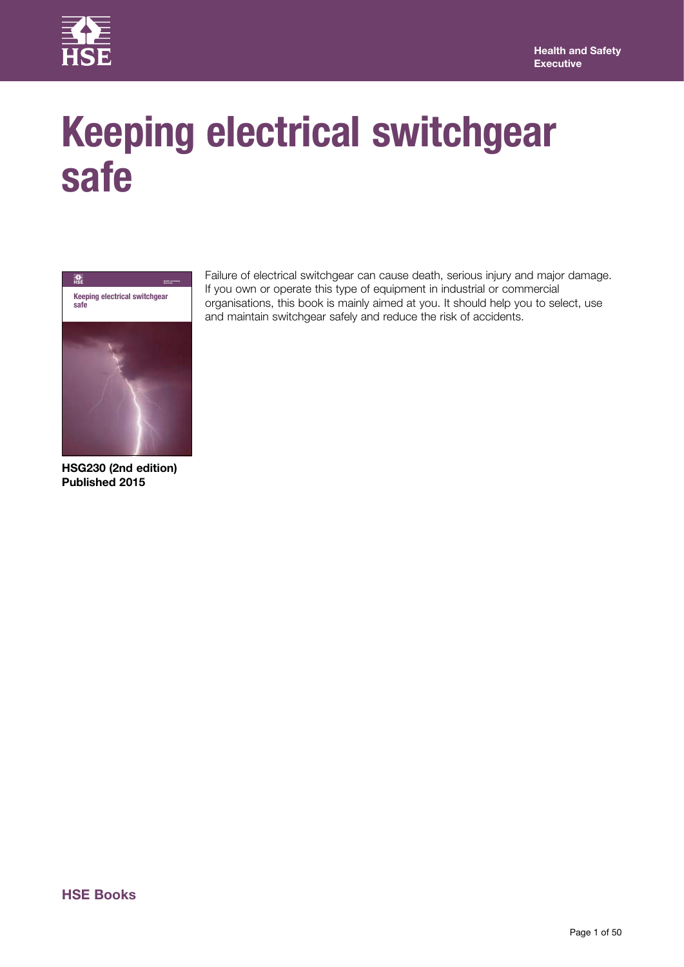

# **Keeping electrical switchgear safe**



**HSG230 (2nd edition) Published 2015**

Failure of electrical switchgear can cause death, serious injury and major damage. If you own or operate this type of equipment in industrial or commercial organisations, this book is mainly aimed at you. It should help you to select, use and maintain switchgear safely and reduce the risk of accidents.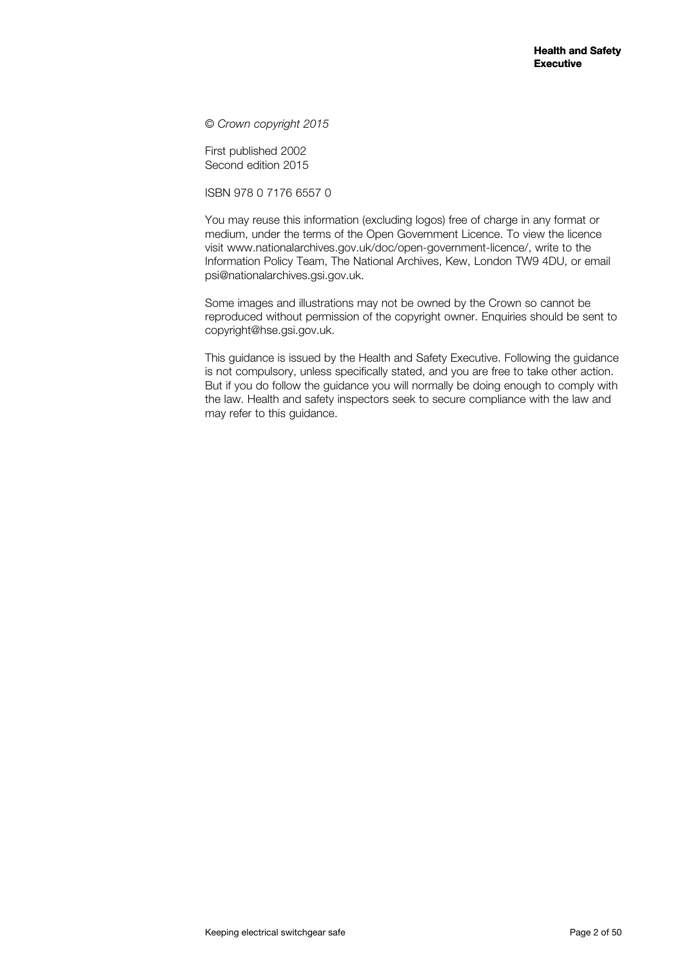© *Crown copyright 2015*

First published 2002 Second edition 2015

ISBN 978 0 7176 6557 0

You may reuse this information (excluding logos) free of charge in any format or medium, under the terms of the Open Government Licence. To view the licence visit www.nationalarchives.gov.uk/doc/open-government-licence/, write to the Information Policy Team, The National Archives, Kew, London TW9 4DU, or email psi@nationalarchives.gsi.gov.uk.

Some images and illustrations may not be owned by the Crown so cannot be reproduced without permission of the copyright owner. Enquiries should be sent to copyright@hse.gsi.gov.uk.

This guidance is issued by the Health and Safety Executive. Following the guidance is not compulsory, unless specifically stated, and you are free to take other action. But if you do follow the guidance you will normally be doing enough to comply with the law. Health and safety inspectors seek to secure compliance with the law and may refer to this guidance.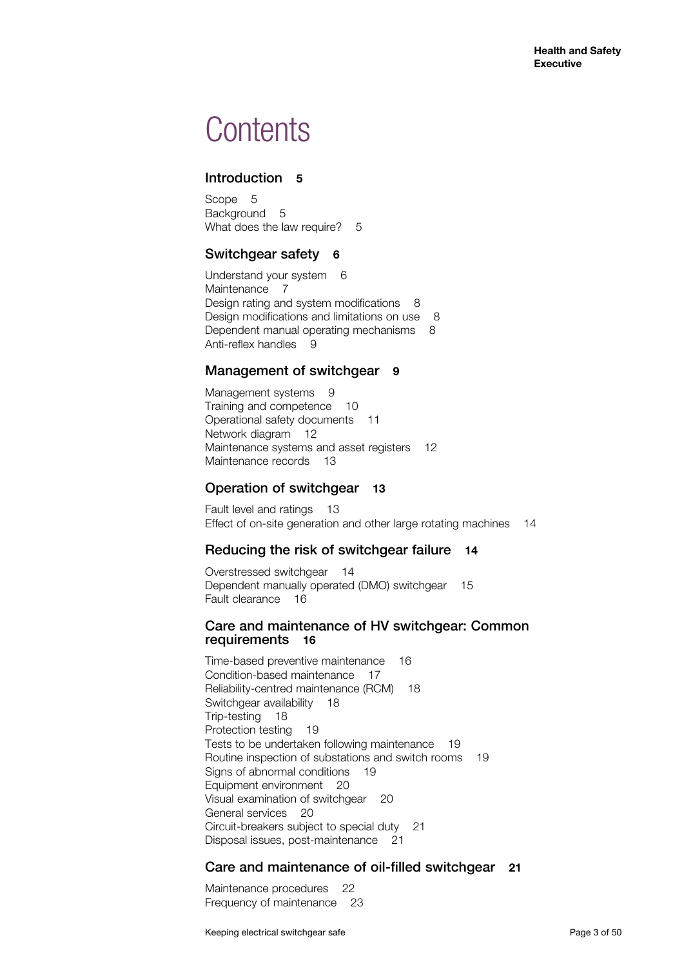## **Contents**

## Introduction **5**

Scope 5 Background 5 What does the law require? 5

## Switchgear safety **6**

Understand your system 6 Maintenance 7 Design rating and system modifications 8 Design modifications and limitations on use 8 Dependent manual operating mechanisms 8 Anti-reflex handles 9

## Management of switchgear 9

Management systems 9 Training and competence 10 Operational safety documents 11 Network diagram 12 Maintenance systems and asset registers 12 Maintenance records 13

## Operation of switchgear **13**

Fault level and ratings 13 Effect of on-site generation and other large rotating machines 14

## Reducing the risk of switchgear failure **14**

Overstressed switchgear 14 Dependent manually operated (DMO) switchgear 15 Fault clearance 16

## Care and maintenance of HV switchgear: Common requirements **16**

Time-based preventive maintenance 16 Condition-based maintenance 17 Reliability-centred maintenance (RCM) 18 Switchgear availability 18 Trip-testing 18 Protection testing 19 Tests to be undertaken following maintenance 19 Routine inspection of substations and switch rooms 19 Signs of abnormal conditions 19 Equipment environment 20 Visual examination of switchgear 20 General services 20 Circuit-breakers subject to special duty 21 Disposal issues, post-maintenance 21

## Care and maintenance of oil-filled switchgear **21**

Maintenance procedures 22 Frequency of maintenance 23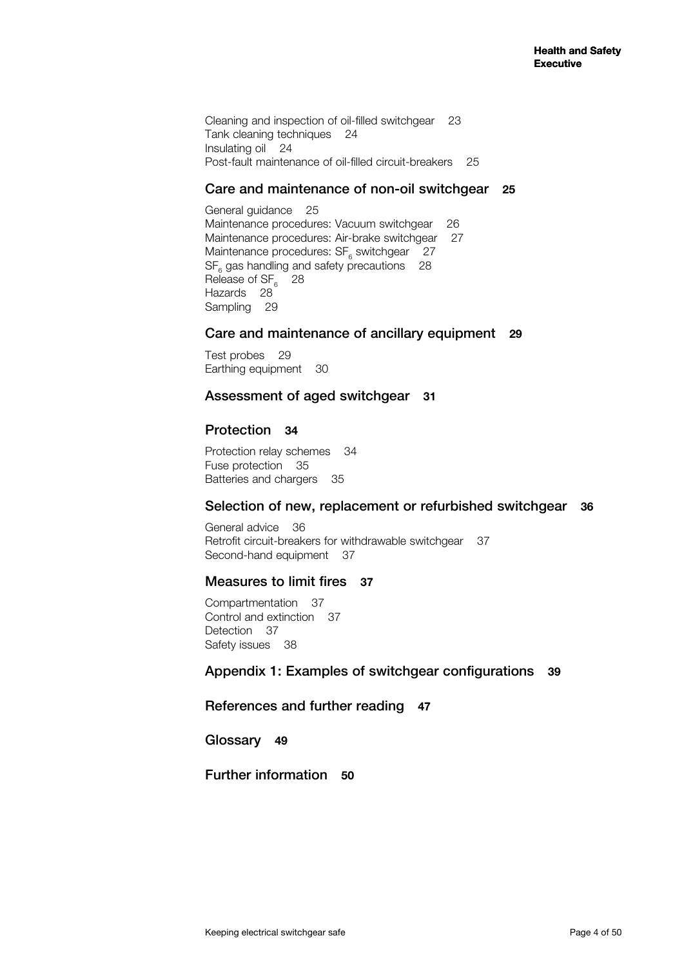Cleaning and inspection of oil-filled switchgear 23 Tank cleaning techniques 24 Insulating oil 24 Post-fault maintenance of oil-filled circuit-breakers 25

## Care and maintenance of non-oil switchgear **25**

General guidance 25 Maintenance procedures: Vacuum switchgear 26 Maintenance procedures: Air-brake switchgear 27 Maintenance procedures:  $SF_{6}$  switchgear 27  $SF_{6}$  gas handling and safety precautions 28 Release of  $SF<sub>6</sub>$  28 Hazards 28 Sampling 29

## Care and maintenance of ancillary equipment **29**

Test probes 29 Earthing equipment 30

## Assessment of aged switchgear **31**

## Protection **34**

Protection relay schemes 34 Fuse protection 35 Batteries and chargers 35

## Selection of new, replacement or refurbished switchgear **36**

General advice 36 Retrofit circuit-breakers for withdrawable switchgear 37 Second-hand equipment 37

## Measures to limit fires **37**

Compartmentation 37 Control and extinction 37 Detection 37 Safety issues 38

## Appendix 1: Examples of switchgear configurations **39**

## References and further reading **47**

Glossary **49**

Further information **50**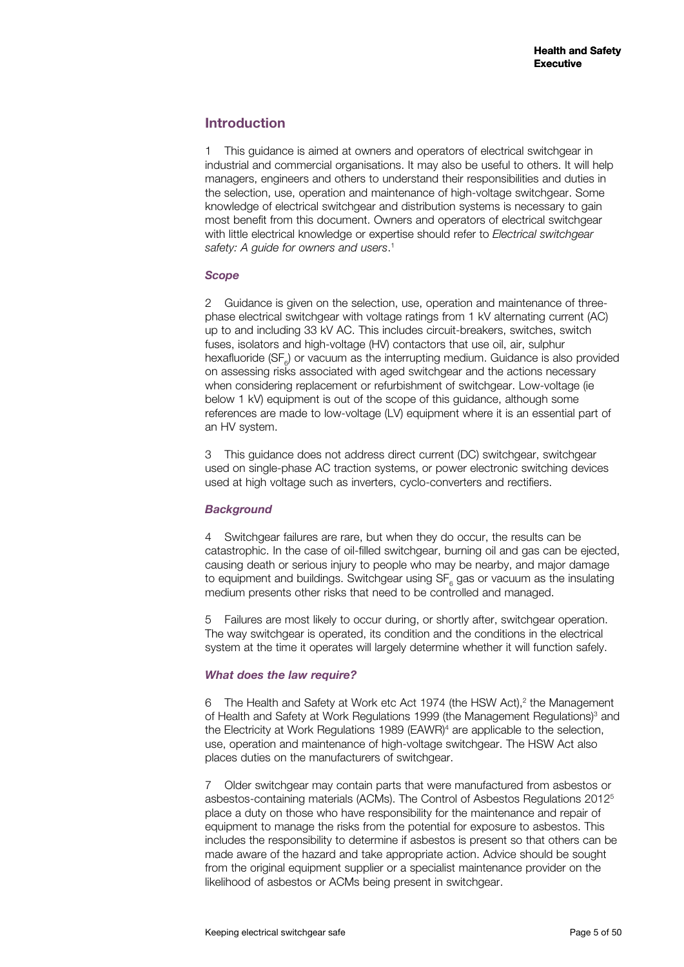## **Introduction**

1 This guidance is aimed at owners and operators of electrical switchgear in industrial and commercial organisations. It may also be useful to others. It will help managers, engineers and others to understand their responsibilities and duties in the selection, use, operation and maintenance of high-voltage switchgear. Some knowledge of electrical switchgear and distribution systems is necessary to gain most benefit from this document. Owners and operators of electrical switchgear with little electrical knowledge or expertise should refer to *Electrical switchgear safety: A guide for owners and users*. 1

#### *Scope*

2 Guidance is given on the selection, use, operation and maintenance of threephase electrical switchgear with voltage ratings from 1 kV alternating current (AC) up to and including 33 kV AC. This includes circuit-breakers, switches, switch fuses, isolators and high-voltage (HV) contactors that use oil, air, sulphur hexafluoride (SF<sub>6</sub>) or vacuum as the interrupting medium. Guidance is also provided on assessing risks associated with aged switchgear and the actions necessary when considering replacement or refurbishment of switchgear. Low-voltage (ie below 1 kV) equipment is out of the scope of this guidance, although some references are made to low-voltage (LV) equipment where it is an essential part of an HV system.

3 This guidance does not address direct current (DC) switchgear, switchgear used on single-phase AC traction systems, or power electronic switching devices used at high voltage such as inverters, cyclo-converters and rectifiers.

## *Background*

4 Switchgear failures are rare, but when they do occur, the results can be catastrophic. In the case of oil-filled switchgear, burning oil and gas can be ejected, causing death or serious injury to people who may be nearby, and major damage to equipment and buildings. Switchgear using  $\text{SF}_6$  gas or vacuum as the insulating medium presents other risks that need to be controlled and managed.

5 Failures are most likely to occur during, or shortly after, switchgear operation. The way switchgear is operated, its condition and the conditions in the electrical system at the time it operates will largely determine whether it will function safely.

## *What does the law require?*

6 The Health and Safety at Work etc Act 1974 (the HSW Act),<sup>2</sup> the Management of Health and Safety at Work Regulations 1999 (the Management Regulations)<sup>3</sup> and the Electricity at Work Regulations 1989 (EAWR)<sup>4</sup> are applicable to the selection, use, operation and maintenance of high-voltage switchgear. The HSW Act also places duties on the manufacturers of switchgear.

7 Older switchgear may contain parts that were manufactured from asbestos or asbestos-containing materials (ACMs). The Control of Asbestos Regulations 20125 place a duty on those who have responsibility for the maintenance and repair of equipment to manage the risks from the potential for exposure to asbestos. This includes the responsibility to determine if asbestos is present so that others can be made aware of the hazard and take appropriate action. Advice should be sought from the original equipment supplier or a specialist maintenance provider on the likelihood of asbestos or ACMs being present in switchgear.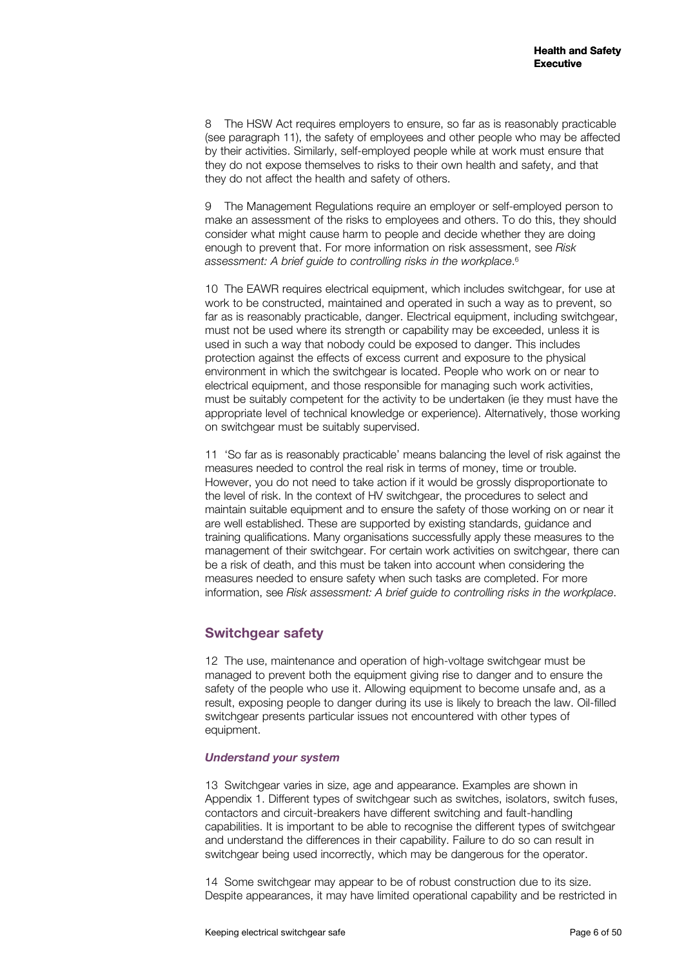8 The HSW Act requires employers to ensure, so far as is reasonably practicable (see paragraph 11), the safety of employees and other people who may be affected by their activities. Similarly, self-employed people while at work must ensure that they do not expose themselves to risks to their own health and safety, and that they do not affect the health and safety of others.

9 The Management Regulations require an employer or self-employed person to make an assessment of the risks to employees and others. To do this, they should consider what might cause harm to people and decide whether they are doing enough to prevent that. For more information on risk assessment, see *Risk assessment: A brief guide to controlling risks in the workplace*. 6

10 The EAWR requires electrical equipment, which includes switchgear, for use at work to be constructed, maintained and operated in such a way as to prevent, so far as is reasonably practicable, danger. Electrical equipment, including switchgear, must not be used where its strength or capability may be exceeded, unless it is used in such a way that nobody could be exposed to danger. This includes protection against the effects of excess current and exposure to the physical environment in which the switchgear is located. People who work on or near to electrical equipment, and those responsible for managing such work activities, must be suitably competent for the activity to be undertaken (ie they must have the appropriate level of technical knowledge or experience). Alternatively, those working on switchgear must be suitably supervised.

11 'So far as is reasonably practicable' means balancing the level of risk against the measures needed to control the real risk in terms of money, time or trouble. However, you do not need to take action if it would be grossly disproportionate to the level of risk. In the context of HV switchgear, the procedures to select and maintain suitable equipment and to ensure the safety of those working on or near it are well established. These are supported by existing standards, guidance and training qualifications. Many organisations successfully apply these measures to the management of their switchgear. For certain work activities on switchgear, there can be a risk of death, and this must be taken into account when considering the measures needed to ensure safety when such tasks are completed. For more information, see *Risk assessment: A brief guide to controlling risks in the workplace*.

## **Switchgear safety**

12 The use, maintenance and operation of high-voltage switchgear must be managed to prevent both the equipment giving rise to danger and to ensure the safety of the people who use it. Allowing equipment to become unsafe and, as a result, exposing people to danger during its use is likely to breach the law. Oil-filled switchgear presents particular issues not encountered with other types of equipment.

#### *Understand your system*

13 Switchgear varies in size, age and appearance. Examples are shown in Appendix 1. Different types of switchgear such as switches, isolators, switch fuses, contactors and circuit-breakers have different switching and fault-handling capabilities. It is important to be able to recognise the different types of switchgear and understand the differences in their capability. Failure to do so can result in switchgear being used incorrectly, which may be dangerous for the operator.

14 Some switchgear may appear to be of robust construction due to its size. Despite appearances, it may have limited operational capability and be restricted in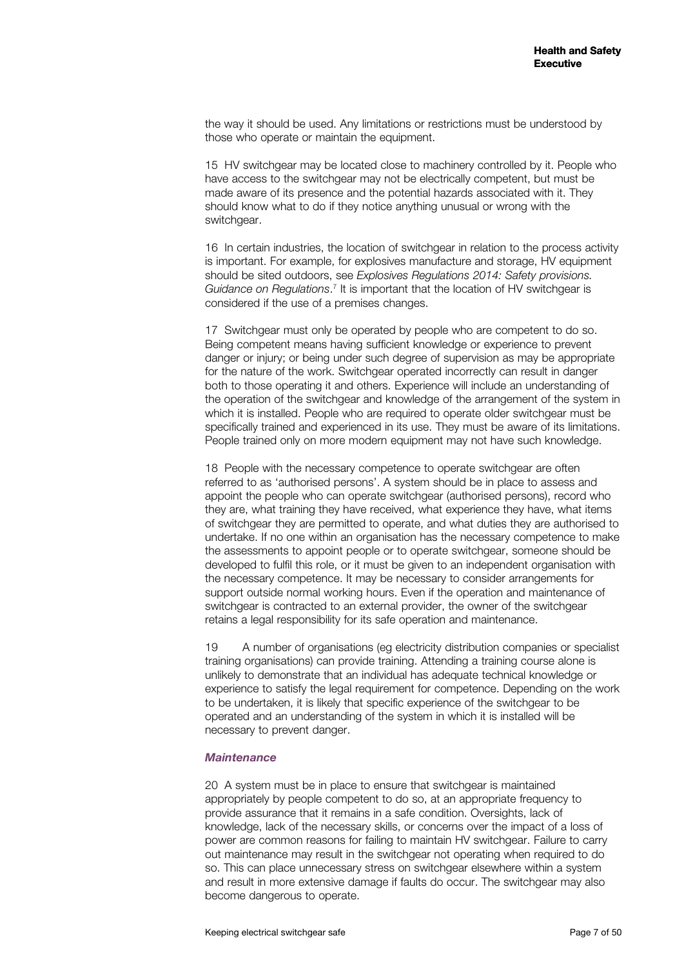the way it should be used. Any limitations or restrictions must be understood by those who operate or maintain the equipment.

15 HV switchgear may be located close to machinery controlled by it. People who have access to the switchgear may not be electrically competent, but must be made aware of its presence and the potential hazards associated with it. They should know what to do if they notice anything unusual or wrong with the switchgear.

16 In certain industries, the location of switchgear in relation to the process activity is important. For example, for explosives manufacture and storage, HV equipment should be sited outdoors, see *Explosives Regulations 2014: Safety provisions.*  Guidance on Regulations.<sup>7</sup> It is important that the location of HV switchgear is considered if the use of a premises changes.

17 Switchgear must only be operated by people who are competent to do so. Being competent means having sufficient knowledge or experience to prevent danger or injury; or being under such degree of supervision as may be appropriate for the nature of the work. Switchgear operated incorrectly can result in danger both to those operating it and others. Experience will include an understanding of the operation of the switchgear and knowledge of the arrangement of the system in which it is installed. People who are required to operate older switchgear must be specifically trained and experienced in its use. They must be aware of its limitations. People trained only on more modern equipment may not have such knowledge.

18 People with the necessary competence to operate switchgear are often referred to as 'authorised persons'. A system should be in place to assess and appoint the people who can operate switchgear (authorised persons), record who they are, what training they have received, what experience they have, what items of switchgear they are permitted to operate, and what duties they are authorised to undertake. If no one within an organisation has the necessary competence to make the assessments to appoint people or to operate switchgear, someone should be developed to fulfil this role, or it must be given to an independent organisation with the necessary competence. It may be necessary to consider arrangements for support outside normal working hours. Even if the operation and maintenance of switchgear is contracted to an external provider, the owner of the switchgear retains a legal responsibility for its safe operation and maintenance.

19 A number of organisations (eg electricity distribution companies or specialist training organisations) can provide training. Attending a training course alone is unlikely to demonstrate that an individual has adequate technical knowledge or experience to satisfy the legal requirement for competence. Depending on the work to be undertaken, it is likely that specific experience of the switchgear to be operated and an understanding of the system in which it is installed will be necessary to prevent danger.

#### *Maintenance*

20 A system must be in place to ensure that switchgear is maintained appropriately by people competent to do so, at an appropriate frequency to provide assurance that it remains in a safe condition. Oversights, lack of knowledge, lack of the necessary skills, or concerns over the impact of a loss of power are common reasons for failing to maintain HV switchgear. Failure to carry out maintenance may result in the switchgear not operating when required to do so. This can place unnecessary stress on switchgear elsewhere within a system and result in more extensive damage if faults do occur. The switchgear may also become dangerous to operate.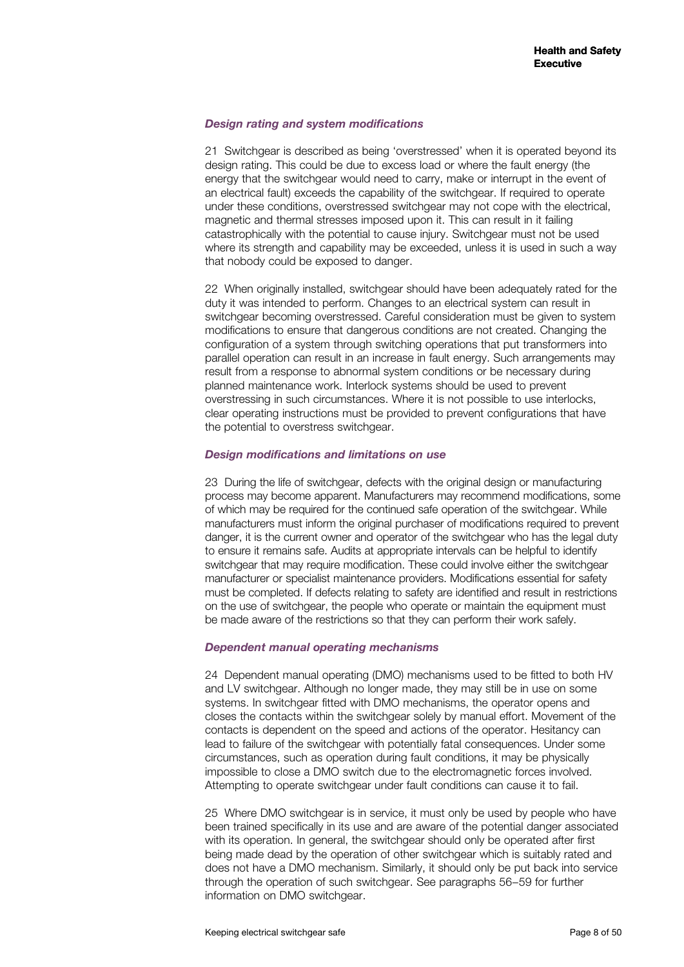#### *Design rating and system modifications*

21 Switchgear is described as being 'overstressed' when it is operated beyond its design rating. This could be due to excess load or where the fault energy (the energy that the switchgear would need to carry, make or interrupt in the event of an electrical fault) exceeds the capability of the switchgear. If required to operate under these conditions, overstressed switchgear may not cope with the electrical, magnetic and thermal stresses imposed upon it. This can result in it failing catastrophically with the potential to cause injury. Switchgear must not be used where its strength and capability may be exceeded, unless it is used in such a way that nobody could be exposed to danger.

22 When originally installed, switchgear should have been adequately rated for the duty it was intended to perform. Changes to an electrical system can result in switchgear becoming overstressed. Careful consideration must be given to system modifications to ensure that dangerous conditions are not created. Changing the configuration of a system through switching operations that put transformers into parallel operation can result in an increase in fault energy. Such arrangements may result from a response to abnormal system conditions or be necessary during planned maintenance work. Interlock systems should be used to prevent overstressing in such circumstances. Where it is not possible to use interlocks, clear operating instructions must be provided to prevent configurations that have the potential to overstress switchgear.

#### *Design modifications and limitations on use*

23 During the life of switchgear, defects with the original design or manufacturing process may become apparent. Manufacturers may recommend modifications, some of which may be required for the continued safe operation of the switchgear. While manufacturers must inform the original purchaser of modifications required to prevent danger, it is the current owner and operator of the switchgear who has the legal duty to ensure it remains safe. Audits at appropriate intervals can be helpful to identify switchgear that may require modification. These could involve either the switchgear manufacturer or specialist maintenance providers. Modifications essential for safety must be completed. If defects relating to safety are identified and result in restrictions on the use of switchgear, the people who operate or maintain the equipment must be made aware of the restrictions so that they can perform their work safely.

#### *Dependent manual operating mechanisms*

24 Dependent manual operating (DMO) mechanisms used to be fitted to both HV and LV switchgear. Although no longer made, they may still be in use on some systems. In switchgear fitted with DMO mechanisms, the operator opens and closes the contacts within the switchgear solely by manual effort. Movement of the contacts is dependent on the speed and actions of the operator. Hesitancy can lead to failure of the switchgear with potentially fatal consequences. Under some circumstances, such as operation during fault conditions, it may be physically impossible to close a DMO switch due to the electromagnetic forces involved. Attempting to operate switchgear under fault conditions can cause it to fail.

25 Where DMO switchgear is in service, it must only be used by people who have been trained specifically in its use and are aware of the potential danger associated with its operation. In general, the switchgear should only be operated after first being made dead by the operation of other switchgear which is suitably rated and does not have a DMO mechanism. Similarly, it should only be put back into service through the operation of such switchgear. See paragraphs 56−59 for further information on DMO switchgear.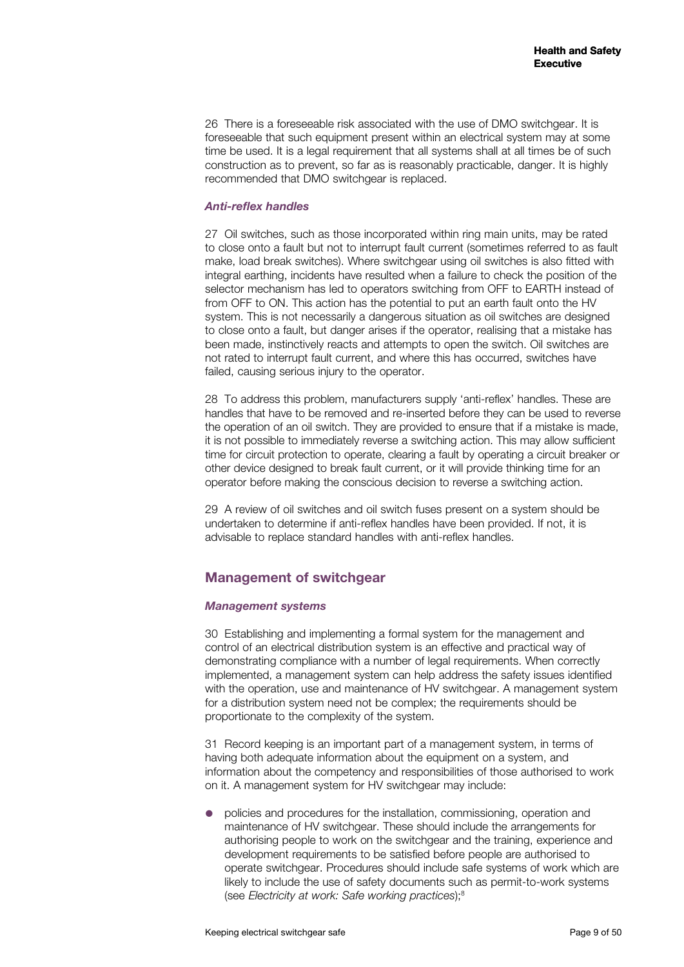26 There is a foreseeable risk associated with the use of DMO switchgear. It is foreseeable that such equipment present within an electrical system may at some time be used. It is a legal requirement that all systems shall at all times be of such construction as to prevent, so far as is reasonably practicable, danger. It is highly recommended that DMO switchgear is replaced.

#### *Anti-reflex handles*

27 Oil switches, such as those incorporated within ring main units, may be rated to close onto a fault but not to interrupt fault current (sometimes referred to as fault make, load break switches). Where switchgear using oil switches is also fitted with integral earthing, incidents have resulted when a failure to check the position of the selector mechanism has led to operators switching from OFF to EARTH instead of from OFF to ON. This action has the potential to put an earth fault onto the HV system. This is not necessarily a dangerous situation as oil switches are designed to close onto a fault, but danger arises if the operator, realising that a mistake has been made, instinctively reacts and attempts to open the switch. Oil switches are not rated to interrupt fault current, and where this has occurred, switches have failed, causing serious injury to the operator.

28 To address this problem, manufacturers supply 'anti-reflex' handles. These are handles that have to be removed and re-inserted before they can be used to reverse the operation of an oil switch. They are provided to ensure that if a mistake is made, it is not possible to immediately reverse a switching action. This may allow sufficient time for circuit protection to operate, clearing a fault by operating a circuit breaker or other device designed to break fault current, or it will provide thinking time for an operator before making the conscious decision to reverse a switching action.

29 A review of oil switches and oil switch fuses present on a system should be undertaken to determine if anti-reflex handles have been provided. If not, it is advisable to replace standard handles with anti-reflex handles.

## **Management of switchgear**

#### *Management systems*

30 Establishing and implementing a formal system for the management and control of an electrical distribution system is an effective and practical way of demonstrating compliance with a number of legal requirements. When correctly implemented, a management system can help address the safety issues identified with the operation, use and maintenance of HV switchgear. A management system for a distribution system need not be complex; the requirements should be proportionate to the complexity of the system.

31 Record keeping is an important part of a management system, in terms of having both adequate information about the equipment on a system, and information about the competency and responsibilities of those authorised to work on it. A management system for HV switchgear may include:

 policies and procedures for the installation, commissioning, operation and maintenance of HV switchgear. These should include the arrangements for authorising people to work on the switchgear and the training, experience and development requirements to be satisfied before people are authorised to operate switchgear. Procedures should include safe systems of work which are likely to include the use of safety documents such as permit-to-work systems (see *Electricity at work: Safe working practices*);8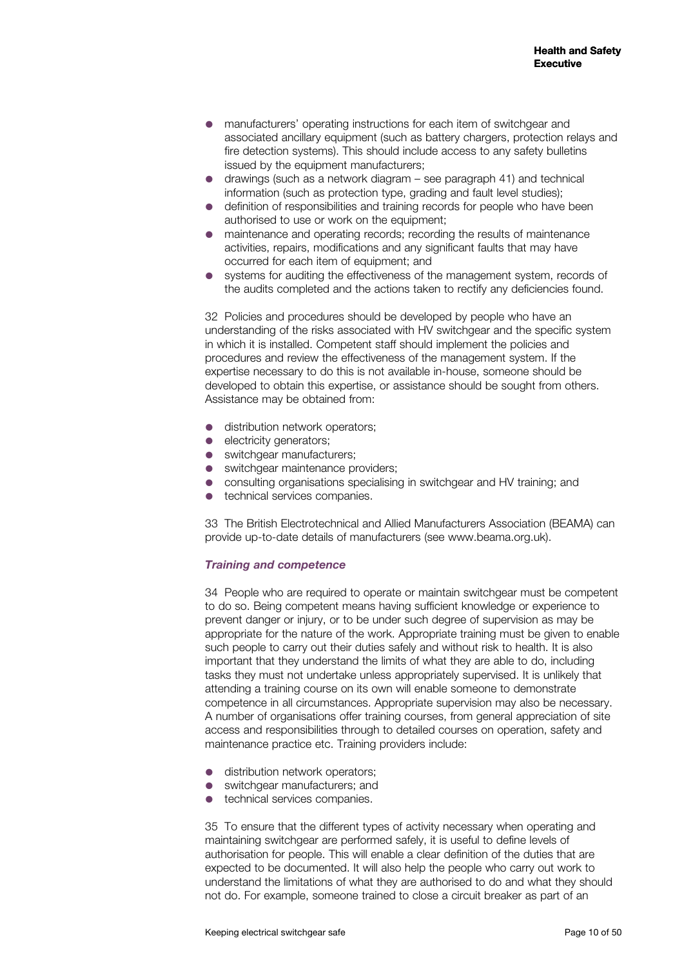- manufacturers' operating instructions for each item of switchgear and associated ancillary equipment (such as battery chargers, protection relays and fire detection systems). This should include access to any safety bulletins issued by the equipment manufacturers;
- drawings (such as a network diagram see paragraph 41) and technical information (such as protection type, grading and fault level studies);
- definition of responsibilities and training records for people who have been authorised to use or work on the equipment;
- maintenance and operating records; recording the results of maintenance activities, repairs, modifications and any significant faults that may have occurred for each item of equipment; and
- systems for auditing the effectiveness of the management system, records of the audits completed and the actions taken to rectify any deficiencies found.

32 Policies and procedures should be developed by people who have an understanding of the risks associated with HV switchgear and the specific system in which it is installed. Competent staff should implement the policies and procedures and review the effectiveness of the management system. If the expertise necessary to do this is not available in-house, someone should be developed to obtain this expertise, or assistance should be sought from others. Assistance may be obtained from:

- distribution network operators;
- electricity generators;
- switchgear manufacturers;
- switchgear maintenance providers;
- consulting organisations specialising in switchgear and HV training; and
- technical services companies.

33 The British Electrotechnical and Allied Manufacturers Association (BEAMA) can provide up-to-date details of manufacturers (see www.beama.org.uk).

#### *Training and competence*

34 People who are required to operate or maintain switchgear must be competent to do so. Being competent means having sufficient knowledge or experience to prevent danger or injury, or to be under such degree of supervision as may be appropriate for the nature of the work. Appropriate training must be given to enable such people to carry out their duties safely and without risk to health. It is also important that they understand the limits of what they are able to do, including tasks they must not undertake unless appropriately supervised. It is unlikely that attending a training course on its own will enable someone to demonstrate competence in all circumstances. Appropriate supervision may also be necessary. A number of organisations offer training courses, from general appreciation of site access and responsibilities through to detailed courses on operation, safety and maintenance practice etc. Training providers include:

- distribution network operators;
- switchgear manufacturers; and
- technical services companies.

35 To ensure that the different types of activity necessary when operating and maintaining switchgear are performed safely, it is useful to define levels of authorisation for people. This will enable a clear definition of the duties that are expected to be documented. It will also help the people who carry out work to understand the limitations of what they are authorised to do and what they should not do. For example, someone trained to close a circuit breaker as part of an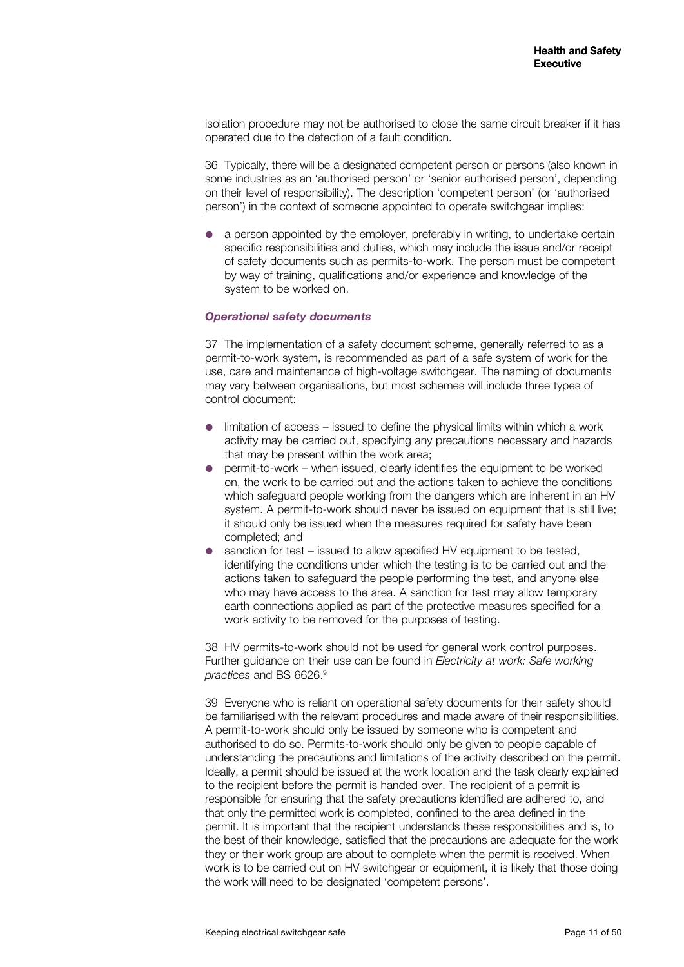isolation procedure may not be authorised to close the same circuit breaker if it has operated due to the detection of a fault condition.

36 Typically, there will be a designated competent person or persons (also known in some industries as an 'authorised person' or 'senior authorised person', depending on their level of responsibility). The description 'competent person' (or 'authorised person') in the context of someone appointed to operate switchgear implies:

 a person appointed by the employer, preferably in writing, to undertake certain specific responsibilities and duties, which may include the issue and/or receipt of safety documents such as permits-to-work. The person must be competent by way of training, qualifications and/or experience and knowledge of the system to be worked on.

#### *Operational safety documents*

37 The implementation of a safety document scheme, generally referred to as a permit-to-work system, is recommended as part of a safe system of work for the use, care and maintenance of high-voltage switchgear. The naming of documents may vary between organisations, but most schemes will include three types of control document:

- limitation of access issued to define the physical limits within which a work activity may be carried out, specifying any precautions necessary and hazards that may be present within the work area;
- permit-to-work when issued, clearly identifies the equipment to be worked on, the work to be carried out and the actions taken to achieve the conditions which safeguard people working from the dangers which are inherent in an HV system. A permit-to-work should never be issued on equipment that is still live; it should only be issued when the measures required for safety have been completed; and
- sanction for test issued to allow specified HV equipment to be tested, identifying the conditions under which the testing is to be carried out and the actions taken to safeguard the people performing the test, and anyone else who may have access to the area. A sanction for test may allow temporary earth connections applied as part of the protective measures specified for a work activity to be removed for the purposes of testing.

38 HV permits-to-work should not be used for general work control purposes. Further guidance on their use can be found in *Electricity at work: Safe working practices* and BS 6626.9

39 Everyone who is reliant on operational safety documents for their safety should be familiarised with the relevant procedures and made aware of their responsibilities. A permit-to-work should only be issued by someone who is competent and authorised to do so. Permits-to-work should only be given to people capable of understanding the precautions and limitations of the activity described on the permit. Ideally, a permit should be issued at the work location and the task clearly explained to the recipient before the permit is handed over. The recipient of a permit is responsible for ensuring that the safety precautions identified are adhered to, and that only the permitted work is completed, confined to the area defined in the permit. It is important that the recipient understands these responsibilities and is, to the best of their knowledge, satisfied that the precautions are adequate for the work they or their work group are about to complete when the permit is received. When work is to be carried out on HV switchgear or equipment, it is likely that those doing the work will need to be designated 'competent persons'.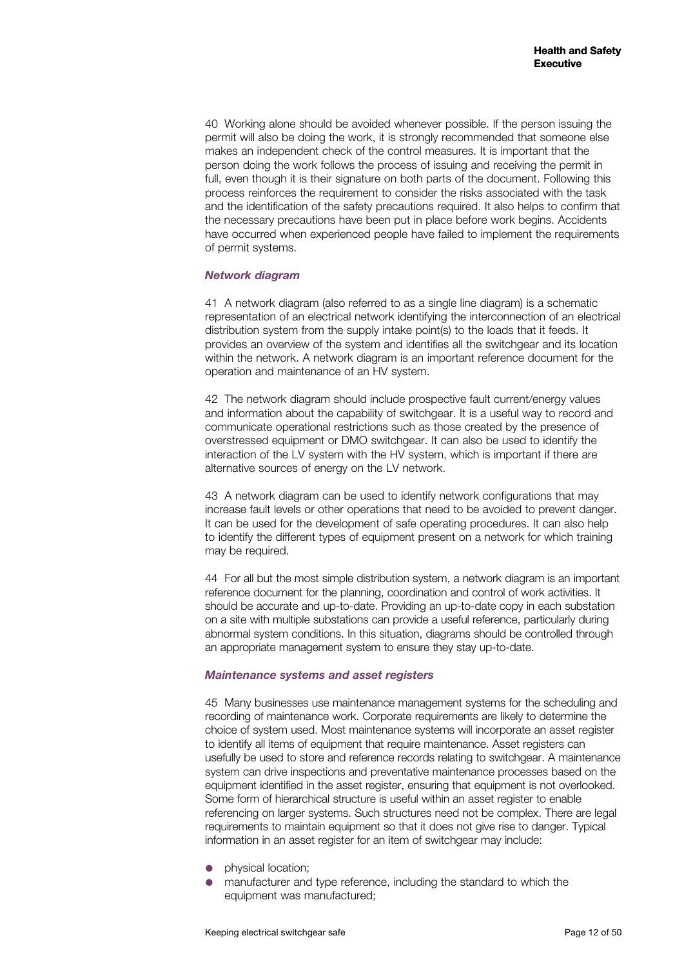40 Working alone should be avoided whenever possible. If the person issuing the permit will also be doing the work, it is strongly recommended that someone else makes an independent check of the control measures. It is important that the person doing the work follows the process of issuing and receiving the permit in full, even though it is their signature on both parts of the document. Following this process reinforces the requirement to consider the risks associated with the task and the identification of the safety precautions required. It also helps to confirm that the necessary precautions have been put in place before work begins. Accidents have occurred when experienced people have failed to implement the requirements of permit systems.

#### *Network diagram*

41 A network diagram (also referred to as a single line diagram) is a schematic representation of an electrical network identifying the interconnection of an electrical distribution system from the supply intake point(s) to the loads that it feeds. It provides an overview of the system and identifies all the switchgear and its location within the network. A network diagram is an important reference document for the operation and maintenance of an HV system.

42 The network diagram should include prospective fault current/energy values and information about the capability of switchgear. It is a useful way to record and communicate operational restrictions such as those created by the presence of overstressed equipment or DMO switchgear. It can also be used to identify the interaction of the LV system with the HV system, which is important if there are alternative sources of energy on the LV network.

43 A network diagram can be used to identify network configurations that may increase fault levels or other operations that need to be avoided to prevent danger. It can be used for the development of safe operating procedures. It can also help to identify the different types of equipment present on a network for which training may be required.

44 For all but the most simple distribution system, a network diagram is an important reference document for the planning, coordination and control of work activities. It should be accurate and up-to-date. Providing an up-to-date copy in each substation on a site with multiple substations can provide a useful reference, particularly during abnormal system conditions. In this situation, diagrams should be controlled through an appropriate management system to ensure they stay up-to-date.

#### *Maintenance systems and asset registers*

45 Many businesses use maintenance management systems for the scheduling and recording of maintenance work. Corporate requirements are likely to determine the choice of system used. Most maintenance systems will incorporate an asset register to identify all items of equipment that require maintenance. Asset registers can usefully be used to store and reference records relating to switchgear. A maintenance system can drive inspections and preventative maintenance processes based on the equipment identified in the asset register, ensuring that equipment is not overlooked. Some form of hierarchical structure is useful within an asset register to enable referencing on larger systems. Such structures need not be complex. There are legal requirements to maintain equipment so that it does not give rise to danger. Typical information in an asset register for an item of switchgear may include:

- physical location;
- manufacturer and type reference, including the standard to which the equipment was manufactured;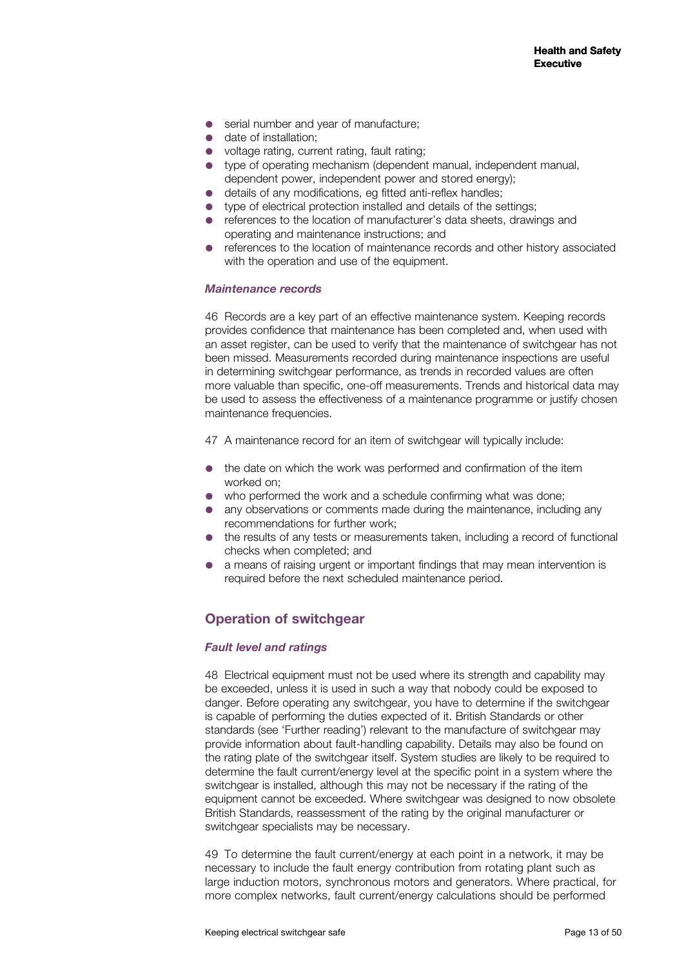- serial number and year of manufacture:
- date of installation:
- voltage rating, current rating, fault rating;
- type of operating mechanism (dependent manual, independent manual, dependent power, independent power and stored energy);
- details of any modifications, eg fitted anti-reflex handles;
- type of electrical protection installed and details of the settings;
- references to the location of manufacturer's data sheets, drawings and operating and maintenance instructions; and
- references to the location of maintenance records and other history associated with the operation and use of the equipment.

#### *Maintenance records*

46 Records are a key part of an effective maintenance system. Keeping records provides confidence that maintenance has been completed and, when used with an asset register, can be used to verify that the maintenance of switchgear has not been missed. Measurements recorded during maintenance inspections are useful in determining switchgear performance, as trends in recorded values are often more valuable than specific, one-off measurements. Trends and historical data may be used to assess the effectiveness of a maintenance programme or justify chosen maintenance frequencies.

47 A maintenance record for an item of switchgear will typically include:

- the date on which the work was performed and confirmation of the item worked on;
- who performed the work and a schedule confirming what was done;
- any observations or comments made during the maintenance, including any recommendations for further work;
- the results of any tests or measurements taken, including a record of functional checks when completed; and
- a means of raising urgent or important findings that may mean intervention is required before the next scheduled maintenance period.

## **Operation of switchgear**

#### *Fault level and ratings*

48 Electrical equipment must not be used where its strength and capability may be exceeded, unless it is used in such a way that nobody could be exposed to danger. Before operating any switchgear, you have to determine if the switchgear is capable of performing the duties expected of it. British Standards or other standards (see 'Further reading') relevant to the manufacture of switchgear may provide information about fault-handling capability. Details may also be found on the rating plate of the switchgear itself. System studies are likely to be required to determine the fault current/energy level at the specific point in a system where the switchgear is installed, although this may not be necessary if the rating of the equipment cannot be exceeded. Where switchgear was designed to now obsolete British Standards, reassessment of the rating by the original manufacturer or switchgear specialists may be necessary.

49 To determine the fault current/energy at each point in a network, it may be necessary to include the fault energy contribution from rotating plant such as large induction motors, synchronous motors and generators. Where practical, for more complex networks, fault current/energy calculations should be performed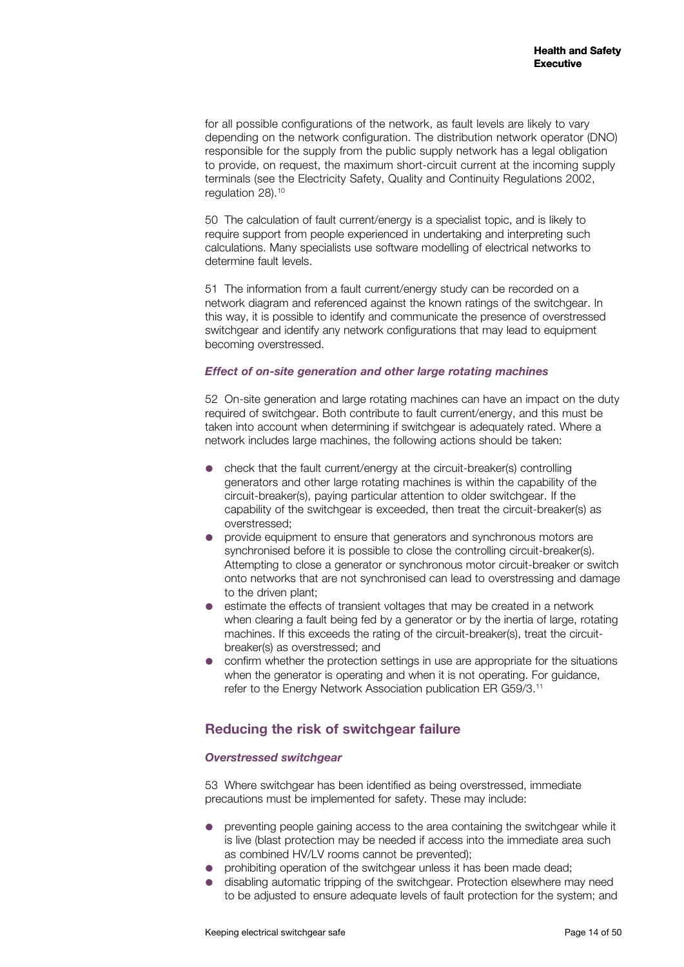for all possible configurations of the network, as fault levels are likely to vary depending on the network configuration. The distribution network operator (DNO) responsible for the supply from the public supply network has a legal obligation to provide, on request, the maximum short-circuit current at the incoming supply terminals (see the Electricity Safety, Quality and Continuity Regulations 2002, regulation 28).10

50 The calculation of fault current/energy is a specialist topic, and is likely to require support from people experienced in undertaking and interpreting such calculations. Many specialists use software modelling of electrical networks to determine fault levels.

51 The information from a fault current/energy study can be recorded on a network diagram and referenced against the known ratings of the switchgear. In this way, it is possible to identify and communicate the presence of overstressed switchgear and identify any network configurations that may lead to equipment becoming overstressed.

#### *Effect of on-site generation and other large rotating machines*

52 On-site generation and large rotating machines can have an impact on the duty required of switchgear. Both contribute to fault current/energy, and this must be taken into account when determining if switchgear is adequately rated. Where a network includes large machines, the following actions should be taken:

- check that the fault current/energy at the circuit-breaker(s) controlling generators and other large rotating machines is within the capability of the circuit-breaker(s), paying particular attention to older switchgear. If the capability of the switchgear is exceeded, then treat the circuit-breaker(s) as overstressed;
- provide equipment to ensure that generators and synchronous motors are synchronised before it is possible to close the controlling circuit-breaker(s). Attempting to close a generator or synchronous motor circuit-breaker or switch onto networks that are not synchronised can lead to overstressing and damage to the driven plant;
- estimate the effects of transient voltages that may be created in a network when clearing a fault being fed by a generator or by the inertia of large, rotating machines. If this exceeds the rating of the circuit-breaker(s), treat the circuitbreaker(s) as overstressed; and
- confirm whether the protection settings in use are appropriate for the situations when the generator is operating and when it is not operating. For guidance, refer to the Energy Network Association publication ER G59/3.11

## **Reducing the risk of switchgear failure**

#### *Overstressed switchgear*

53 Where switchgear has been identified as being overstressed, immediate precautions must be implemented for safety. These may include:

- preventing people gaining access to the area containing the switchgear while it is live (blast protection may be needed if access into the immediate area such as combined HV/LV rooms cannot be prevented);
- prohibiting operation of the switchgear unless it has been made dead;
- disabling automatic tripping of the switchgear. Protection elsewhere may need to be adjusted to ensure adequate levels of fault protection for the system; and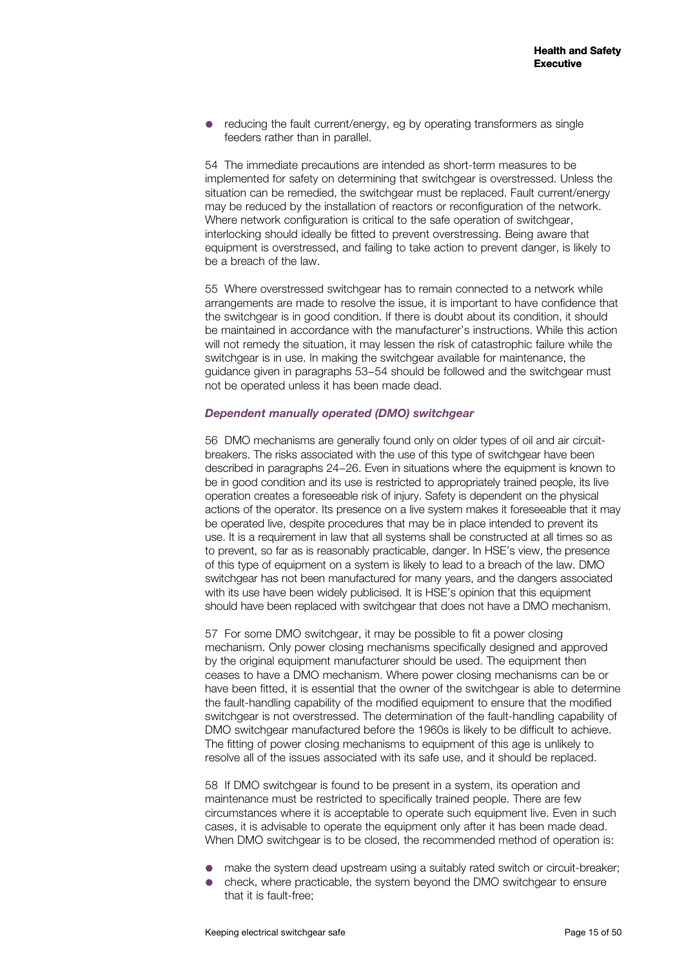• reducing the fault current/energy, eg by operating transformers as single feeders rather than in parallel.

54 The immediate precautions are intended as short-term measures to be implemented for safety on determining that switchgear is overstressed. Unless the situation can be remedied, the switchgear must be replaced. Fault current/energy may be reduced by the installation of reactors or reconfiguration of the network. Where network configuration is critical to the safe operation of switchgear, interlocking should ideally be fitted to prevent overstressing. Being aware that equipment is overstressed, and failing to take action to prevent danger, is likely to be a breach of the law.

55 Where overstressed switchgear has to remain connected to a network while arrangements are made to resolve the issue, it is important to have confidence that the switchgear is in good condition. If there is doubt about its condition, it should be maintained in accordance with the manufacturer's instructions. While this action will not remedy the situation, it may lessen the risk of catastrophic failure while the switchgear is in use. In making the switchgear available for maintenance, the guidance given in paragraphs 53−54 should be followed and the switchgear must not be operated unless it has been made dead.

#### *Dependent manually operated (DMO) switchgear*

56 DMO mechanisms are generally found only on older types of oil and air circuitbreakers. The risks associated with the use of this type of switchgear have been described in paragraphs 24−26. Even in situations where the equipment is known to be in good condition and its use is restricted to appropriately trained people, its live operation creates a foreseeable risk of injury. Safety is dependent on the physical actions of the operator. Its presence on a live system makes it foreseeable that it may be operated live, despite procedures that may be in place intended to prevent its use. It is a requirement in law that all systems shall be constructed at all times so as to prevent, so far as is reasonably practicable, danger. In HSE's view, the presence of this type of equipment on a system is likely to lead to a breach of the law. DMO switchgear has not been manufactured for many years, and the dangers associated with its use have been widely publicised. It is HSE's opinion that this equipment should have been replaced with switchgear that does not have a DMO mechanism.

57 For some DMO switchgear, it may be possible to fit a power closing mechanism. Only power closing mechanisms specifically designed and approved by the original equipment manufacturer should be used. The equipment then ceases to have a DMO mechanism. Where power closing mechanisms can be or have been fitted, it is essential that the owner of the switchgear is able to determine the fault-handling capability of the modified equipment to ensure that the modified switchgear is not overstressed. The determination of the fault-handling capability of DMO switchgear manufactured before the 1960s is likely to be difficult to achieve. The fitting of power closing mechanisms to equipment of this age is unlikely to resolve all of the issues associated with its safe use, and it should be replaced.

58 If DMO switchgear is found to be present in a system, its operation and maintenance must be restricted to specifically trained people. There are few circumstances where it is acceptable to operate such equipment live. Even in such cases, it is advisable to operate the equipment only after it has been made dead. When DMO switchgear is to be closed, the recommended method of operation is:

- make the system dead upstream using a suitably rated switch or circuit-breaker;
- check, where practicable, the system beyond the DMO switchgear to ensure that it is fault-free;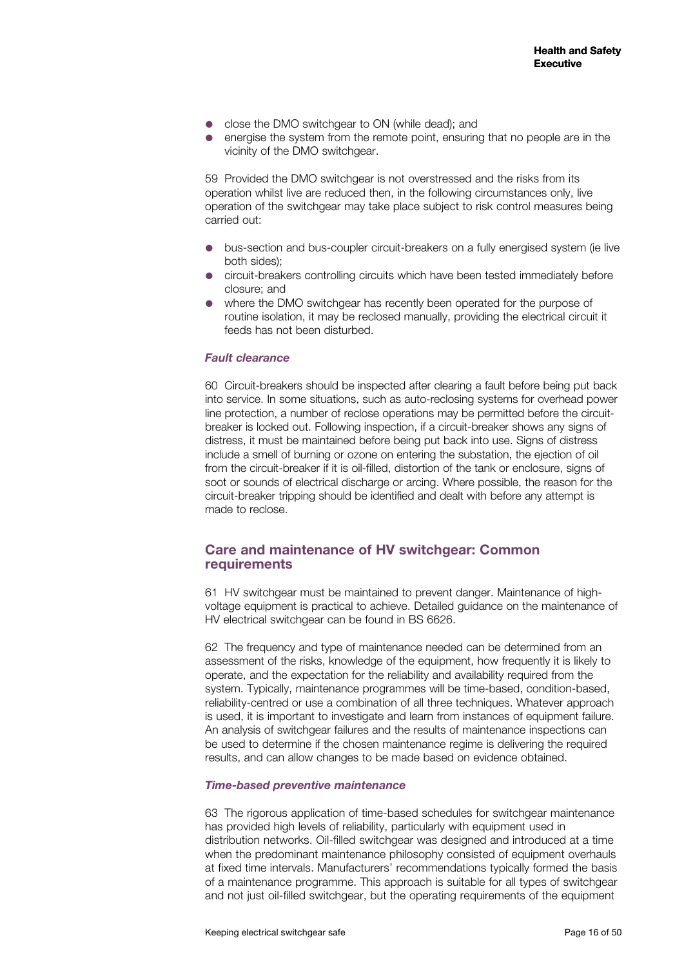- close the DMO switchgear to ON (while dead); and
- energise the system from the remote point, ensuring that no people are in the vicinity of the DMO switchgear.

59 Provided the DMO switchgear is not overstressed and the risks from its operation whilst live are reduced then, in the following circumstances only, live operation of the switchgear may take place subject to risk control measures being carried out:

- bus-section and bus-coupler circuit-breakers on a fully energised system (ie live both sides);
- circuit-breakers controlling circuits which have been tested immediately before closure; and
- where the DMO switchgear has recently been operated for the purpose of routine isolation, it may be reclosed manually, providing the electrical circuit it feeds has not been disturbed.

#### *Fault clearance*

60 Circuit-breakers should be inspected after clearing a fault before being put back into service. In some situations, such as auto-reclosing systems for overhead power line protection, a number of reclose operations may be permitted before the circuitbreaker is locked out. Following inspection, if a circuit-breaker shows any signs of distress, it must be maintained before being put back into use. Signs of distress include a smell of burning or ozone on entering the substation, the ejection of oil from the circuit-breaker if it is oil-filled, distortion of the tank or enclosure, signs of soot or sounds of electrical discharge or arcing. Where possible, the reason for the circuit-breaker tripping should be identified and dealt with before any attempt is made to reclose.

## **Care and maintenance of HV switchgear: Common requirements**

61 HV switchgear must be maintained to prevent danger. Maintenance of highvoltage equipment is practical to achieve. Detailed guidance on the maintenance of HV electrical switchgear can be found in BS 6626.

62 The frequency and type of maintenance needed can be determined from an assessment of the risks, knowledge of the equipment, how frequently it is likely to operate, and the expectation for the reliability and availability required from the system. Typically, maintenance programmes will be time-based, condition-based, reliability-centred or use a combination of all three techniques. Whatever approach is used, it is important to investigate and learn from instances of equipment failure. An analysis of switchgear failures and the results of maintenance inspections can be used to determine if the chosen maintenance regime is delivering the required results, and can allow changes to be made based on evidence obtained.

#### *Time-based preventive maintenance*

63 The rigorous application of time-based schedules for switchgear maintenance has provided high levels of reliability, particularly with equipment used in distribution networks. Oil-filled switchgear was designed and introduced at a time when the predominant maintenance philosophy consisted of equipment overhauls at fixed time intervals. Manufacturers' recommendations typically formed the basis of a maintenance programme. This approach is suitable for all types of switchgear and not just oil-filled switchgear, but the operating requirements of the equipment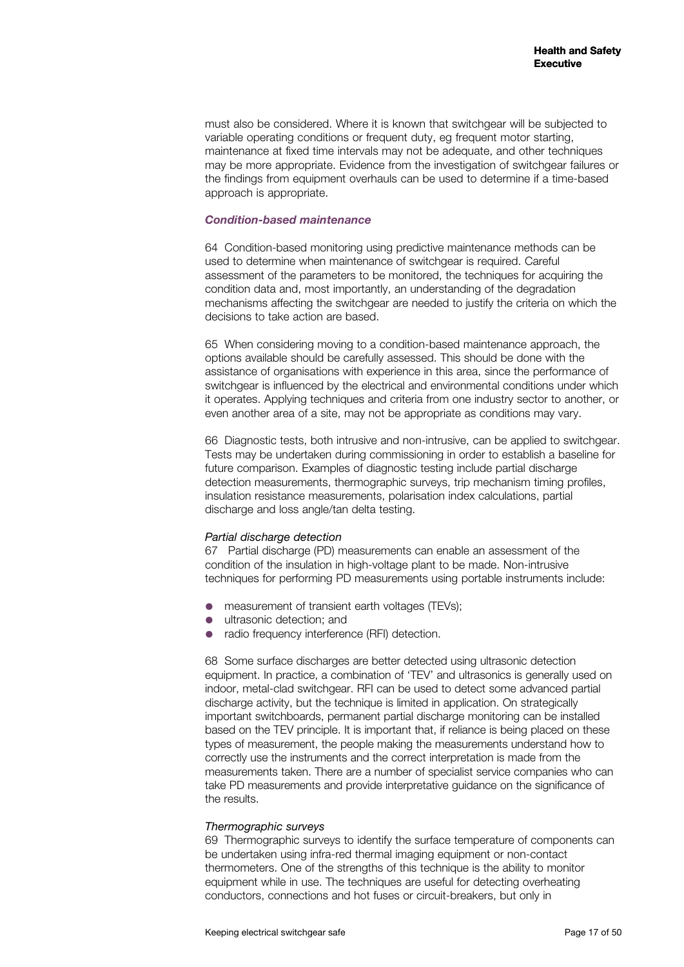must also be considered. Where it is known that switchgear will be subjected to variable operating conditions or frequent duty, eg frequent motor starting, maintenance at fixed time intervals may not be adequate, and other techniques may be more appropriate. Evidence from the investigation of switchgear failures or the findings from equipment overhauls can be used to determine if a time-based approach is appropriate.

#### *Condition-based maintenance*

64 Condition-based monitoring using predictive maintenance methods can be used to determine when maintenance of switchgear is required. Careful assessment of the parameters to be monitored, the techniques for acquiring the condition data and, most importantly, an understanding of the degradation mechanisms affecting the switchgear are needed to justify the criteria on which the decisions to take action are based.

65 When considering moving to a condition-based maintenance approach, the options available should be carefully assessed. This should be done with the assistance of organisations with experience in this area, since the performance of switchgear is influenced by the electrical and environmental conditions under which it operates. Applying techniques and criteria from one industry sector to another, or even another area of a site, may not be appropriate as conditions may vary.

66 Diagnostic tests, both intrusive and non-intrusive, can be applied to switchgear. Tests may be undertaken during commissioning in order to establish a baseline for future comparison. Examples of diagnostic testing include partial discharge detection measurements, thermographic surveys, trip mechanism timing profiles, insulation resistance measurements, polarisation index calculations, partial discharge and loss angle/tan delta testing.

#### *Partial discharge detection*

67 Partial discharge (PD) measurements can enable an assessment of the condition of the insulation in high-voltage plant to be made. Non-intrusive techniques for performing PD measurements using portable instruments include:

- measurement of transient earth voltages (TEVs);
- ultrasonic detection; and
- radio frequency interference (RFI) detection.

68 Some surface discharges are better detected using ultrasonic detection equipment. In practice, a combination of 'TEV' and ultrasonics is generally used on indoor, metal-clad switchgear. RFI can be used to detect some advanced partial discharge activity, but the technique is limited in application. On strategically important switchboards, permanent partial discharge monitoring can be installed based on the TEV principle. It is important that, if reliance is being placed on these types of measurement, the people making the measurements understand how to correctly use the instruments and the correct interpretation is made from the measurements taken. There are a number of specialist service companies who can take PD measurements and provide interpretative guidance on the significance of the results.

#### *Thermographic surveys*

69 Thermographic surveys to identify the surface temperature of components can be undertaken using infra-red thermal imaging equipment or non-contact thermometers. One of the strengths of this technique is the ability to monitor equipment while in use. The techniques are useful for detecting overheating conductors, connections and hot fuses or circuit-breakers, but only in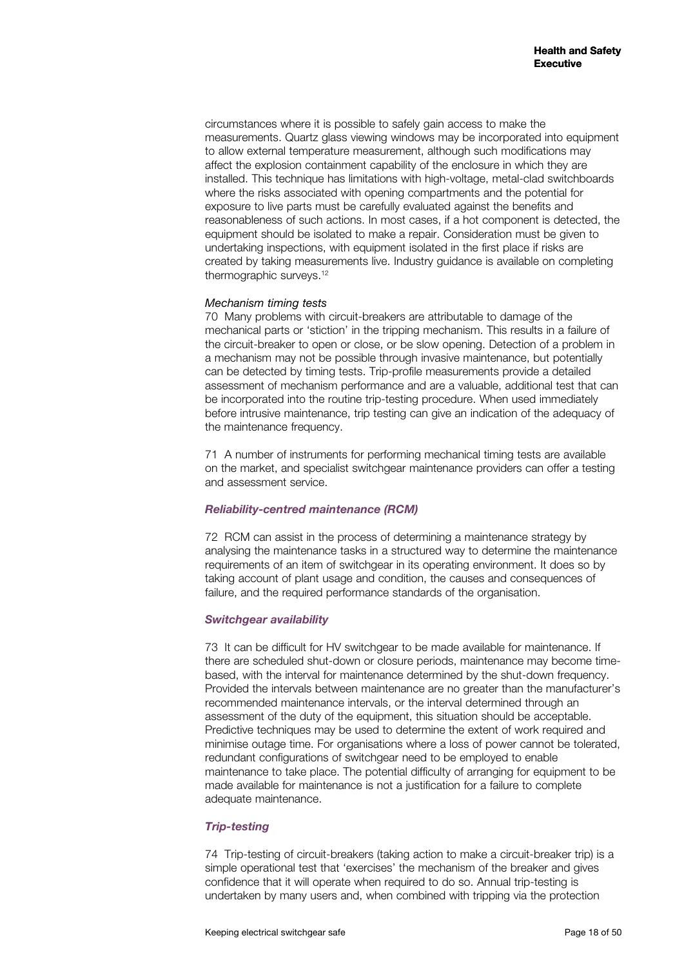circumstances where it is possible to safely gain access to make the measurements. Quartz glass viewing windows may be incorporated into equipment to allow external temperature measurement, although such modifications may affect the explosion containment capability of the enclosure in which they are installed. This technique has limitations with high-voltage, metal-clad switchboards where the risks associated with opening compartments and the potential for exposure to live parts must be carefully evaluated against the benefits and reasonableness of such actions. In most cases, if a hot component is detected, the equipment should be isolated to make a repair. Consideration must be given to undertaking inspections, with equipment isolated in the first place if risks are created by taking measurements live. Industry guidance is available on completing thermographic surveys.<sup>12</sup>

#### *Mechanism timing tests*

70 Many problems with circuit-breakers are attributable to damage of the mechanical parts or 'stiction' in the tripping mechanism. This results in a failure of the circuit-breaker to open or close, or be slow opening. Detection of a problem in a mechanism may not be possible through invasive maintenance, but potentially can be detected by timing tests. Trip-profile measurements provide a detailed assessment of mechanism performance and are a valuable, additional test that can be incorporated into the routine trip-testing procedure. When used immediately before intrusive maintenance, trip testing can give an indication of the adequacy of the maintenance frequency.

71 A number of instruments for performing mechanical timing tests are available on the market, and specialist switchgear maintenance providers can offer a testing and assessment service.

#### *Reliability-centred maintenance (RCM)*

72 RCM can assist in the process of determining a maintenance strategy by analysing the maintenance tasks in a structured way to determine the maintenance requirements of an item of switchgear in its operating environment. It does so by taking account of plant usage and condition, the causes and consequences of failure, and the required performance standards of the organisation.

#### *Switchgear availability*

73 It can be difficult for HV switchgear to be made available for maintenance. If there are scheduled shut-down or closure periods, maintenance may become timebased, with the interval for maintenance determined by the shut-down frequency. Provided the intervals between maintenance are no greater than the manufacturer's recommended maintenance intervals, or the interval determined through an assessment of the duty of the equipment, this situation should be acceptable. Predictive techniques may be used to determine the extent of work required and minimise outage time. For organisations where a loss of power cannot be tolerated, redundant configurations of switchgear need to be employed to enable maintenance to take place. The potential difficulty of arranging for equipment to be made available for maintenance is not a justification for a failure to complete adequate maintenance.

#### *Trip-testing*

74 Trip-testing of circuit-breakers (taking action to make a circuit-breaker trip) is a simple operational test that 'exercises' the mechanism of the breaker and gives confidence that it will operate when required to do so. Annual trip-testing is undertaken by many users and, when combined with tripping via the protection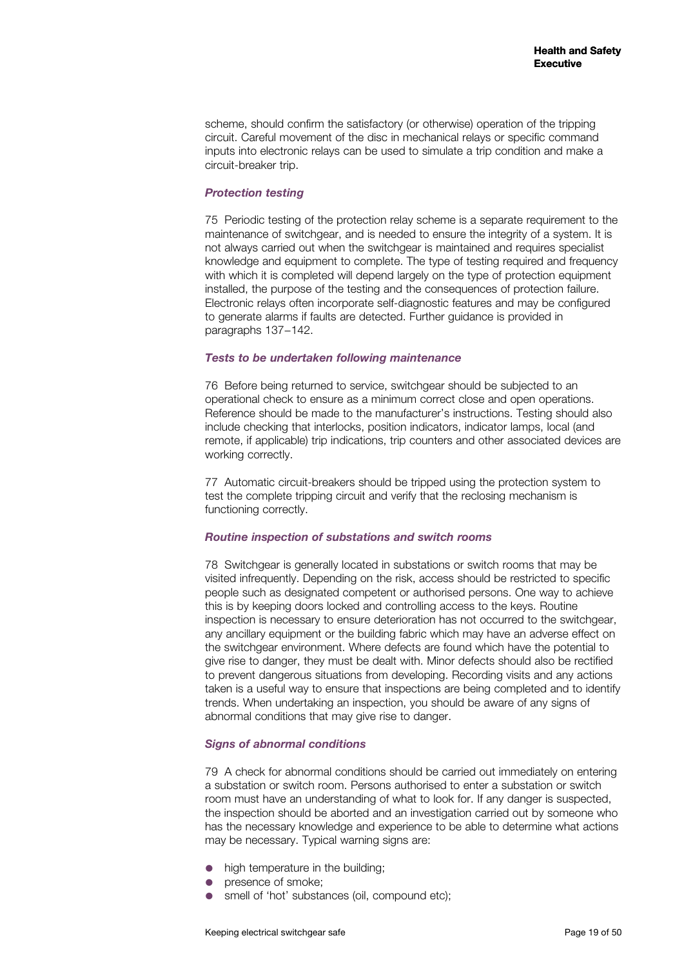scheme, should confirm the satisfactory (or otherwise) operation of the tripping circuit. Careful movement of the disc in mechanical relays or specific command inputs into electronic relays can be used to simulate a trip condition and make a circuit-breaker trip.

#### *Protection testing*

75 Periodic testing of the protection relay scheme is a separate requirement to the maintenance of switchgear, and is needed to ensure the integrity of a system. It is not always carried out when the switchgear is maintained and requires specialist knowledge and equipment to complete. The type of testing required and frequency with which it is completed will depend largely on the type of protection equipment installed, the purpose of the testing and the consequences of protection failure. Electronic relays often incorporate self-diagnostic features and may be configured to generate alarms if faults are detected. Further guidance is provided in paragraphs 137−142.

#### *Tests to be undertaken following maintenance*

76 Before being returned to service, switchgear should be subjected to an operational check to ensure as a minimum correct close and open operations. Reference should be made to the manufacturer's instructions. Testing should also include checking that interlocks, position indicators, indicator lamps, local (and remote, if applicable) trip indications, trip counters and other associated devices are working correctly.

77 Automatic circuit-breakers should be tripped using the protection system to test the complete tripping circuit and verify that the reclosing mechanism is functioning correctly.

#### *Routine inspection of substations and switch rooms*

78 Switchgear is generally located in substations or switch rooms that may be visited infrequently. Depending on the risk, access should be restricted to specific people such as designated competent or authorised persons. One way to achieve this is by keeping doors locked and controlling access to the keys. Routine inspection is necessary to ensure deterioration has not occurred to the switchgear, any ancillary equipment or the building fabric which may have an adverse effect on the switchgear environment. Where defects are found which have the potential to give rise to danger, they must be dealt with. Minor defects should also be rectified to prevent dangerous situations from developing. Recording visits and any actions taken is a useful way to ensure that inspections are being completed and to identify trends. When undertaking an inspection, you should be aware of any signs of abnormal conditions that may give rise to danger.

#### *Signs of abnormal conditions*

79 A check for abnormal conditions should be carried out immediately on entering a substation or switch room. Persons authorised to enter a substation or switch room must have an understanding of what to look for. If any danger is suspected, the inspection should be aborted and an investigation carried out by someone who has the necessary knowledge and experience to be able to determine what actions may be necessary. Typical warning signs are:

- high temperature in the building;
- presence of smoke;
- smell of 'hot' substances (oil, compound etc);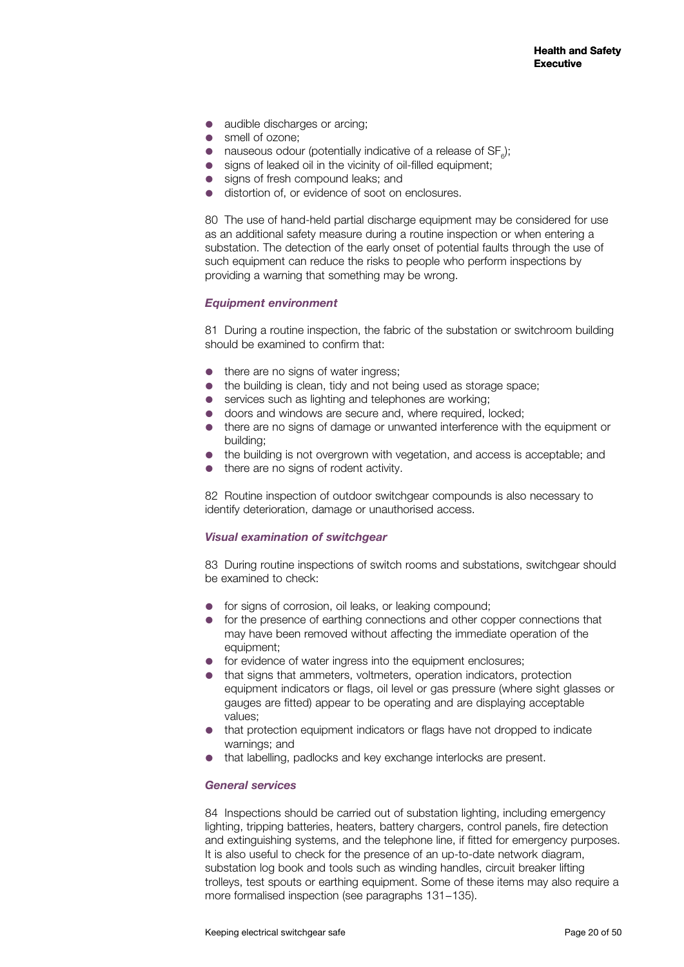- audible discharges or arcing:
- smell of ozone:
- nauseous odour (potentially indicative of a release of  $SF_{\rm e}$ );
- signs of leaked oil in the vicinity of oil-filled equipment;
- signs of fresh compound leaks; and
- distortion of, or evidence of soot on enclosures.

80 The use of hand-held partial discharge equipment may be considered for use as an additional safety measure during a routine inspection or when entering a substation. The detection of the early onset of potential faults through the use of such equipment can reduce the risks to people who perform inspections by providing a warning that something may be wrong.

#### *Equipment environment*

81 During a routine inspection, the fabric of the substation or switchroom building should be examined to confirm that:

- there are no signs of water ingress:
- the building is clean, tidy and not being used as storage space;
- services such as lighting and telephones are working:
- doors and windows are secure and, where required, locked;
- there are no signs of damage or unwanted interference with the equipment or building;
- the building is not overgrown with vegetation, and access is acceptable; and
- $\bullet$  there are no signs of rodent activity.

82 Routine inspection of outdoor switchgear compounds is also necessary to identify deterioration, damage or unauthorised access.

#### *Visual examination of switchgear*

83 During routine inspections of switch rooms and substations, switchgear should be examined to check:

- **•** for signs of corrosion, oil leaks, or leaking compound;
- **•** for the presence of earthing connections and other copper connections that may have been removed without affecting the immediate operation of the equipment;
- **•** for evidence of water ingress into the equipment enclosures;
- that signs that ammeters, voltmeters, operation indicators, protection equipment indicators or flags, oil level or gas pressure (where sight glasses or gauges are fitted) appear to be operating and are displaying acceptable values;
- that protection equipment indicators or flags have not dropped to indicate warnings; and
- that labelling, padlocks and key exchange interlocks are present.

#### *General services*

84 Inspections should be carried out of substation lighting, including emergency lighting, tripping batteries, heaters, battery chargers, control panels, fire detection and extinguishing systems, and the telephone line, if fitted for emergency purposes. It is also useful to check for the presence of an up-to-date network diagram, substation log book and tools such as winding handles, circuit breaker lifting trolleys, test spouts or earthing equipment. Some of these items may also require a more formalised inspection (see paragraphs 131−135).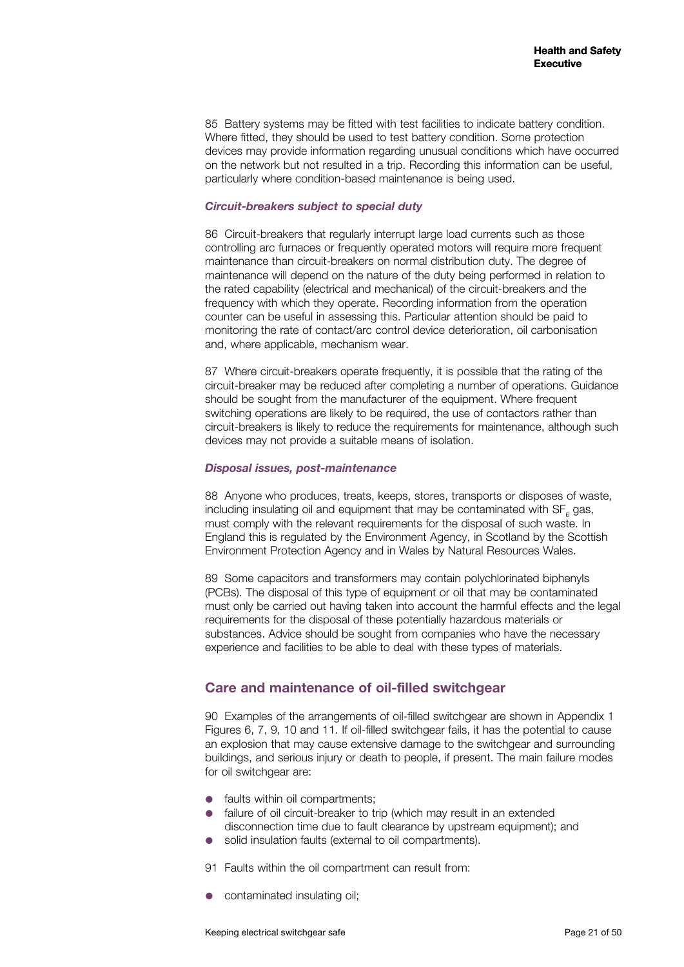85 Battery systems may be fitted with test facilities to indicate battery condition. Where fitted, they should be used to test battery condition. Some protection devices may provide information regarding unusual conditions which have occurred on the network but not resulted in a trip. Recording this information can be useful, particularly where condition-based maintenance is being used.

#### *Circuit-breakers subject to special duty*

86 Circuit-breakers that regularly interrupt large load currents such as those controlling arc furnaces or frequently operated motors will require more frequent maintenance than circuit-breakers on normal distribution duty. The degree of maintenance will depend on the nature of the duty being performed in relation to the rated capability (electrical and mechanical) of the circuit-breakers and the frequency with which they operate. Recording information from the operation counter can be useful in assessing this. Particular attention should be paid to monitoring the rate of contact/arc control device deterioration, oil carbonisation and, where applicable, mechanism wear.

87 Where circuit-breakers operate frequently, it is possible that the rating of the circuit-breaker may be reduced after completing a number of operations. Guidance should be sought from the manufacturer of the equipment. Where frequent switching operations are likely to be required, the use of contactors rather than circuit-breakers is likely to reduce the requirements for maintenance, although such devices may not provide a suitable means of isolation.

#### *Disposal issues, post-maintenance*

88 Anyone who produces, treats, keeps, stores, transports or disposes of waste, including insulating oil and equipment that may be contaminated with  $\text{SF}_{_{6}}$  gas, must comply with the relevant requirements for the disposal of such waste. In England this is regulated by the Environment Agency, in Scotland by the Scottish Environment Protection Agency and in Wales by Natural Resources Wales.

89 Some capacitors and transformers may contain polychlorinated biphenyls (PCBs). The disposal of this type of equipment or oil that may be contaminated must only be carried out having taken into account the harmful effects and the legal requirements for the disposal of these potentially hazardous materials or substances. Advice should be sought from companies who have the necessary experience and facilities to be able to deal with these types of materials.

## **Care and maintenance of oil-filled switchgear**

90 Examples of the arrangements of oil-filled switchgear are shown in Appendix 1 Figures 6, 7, 9, 10 and 11. If oil-filled switchgear fails, it has the potential to cause an explosion that may cause extensive damage to the switchgear and surrounding buildings, and serious injury or death to people, if present. The main failure modes for oil switchgear are:

- faults within oil compartments;
- **•** failure of oil circuit-breaker to trip (which may result in an extended disconnection time due to fault clearance by upstream equipment); and
- solid insulation faults (external to oil compartments).
- 91 Faults within the oil compartment can result from:
- contaminated insulating oil;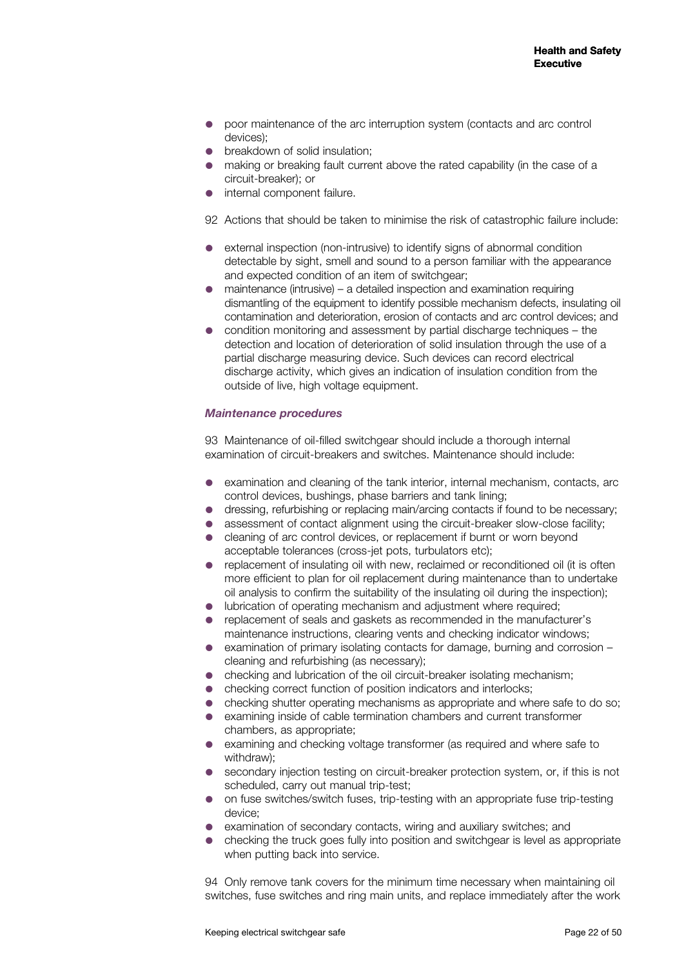- **•** poor maintenance of the arc interruption system (contacts and arc control devices);
- breakdown of solid insulation;
- making or breaking fault current above the rated capability (in the case of a circuit-breaker); or
- internal component failure.

92 Actions that should be taken to minimise the risk of catastrophic failure include:

- external inspection (non-intrusive) to identify signs of abnormal condition detectable by sight, smell and sound to a person familiar with the appearance and expected condition of an item of switchgear;
- maintenance (intrusive) a detailed inspection and examination requiring dismantling of the equipment to identify possible mechanism defects, insulating oil contamination and deterioration, erosion of contacts and arc control devices; and
- condition monitoring and assessment by partial discharge techniques the detection and location of deterioration of solid insulation through the use of a partial discharge measuring device. Such devices can record electrical discharge activity, which gives an indication of insulation condition from the outside of live, high voltage equipment.

#### *Maintenance procedures*

93 Maintenance of oil-filled switchgear should include a thorough internal examination of circuit-breakers and switches. Maintenance should include:

- examination and cleaning of the tank interior, internal mechanism, contacts, arc control devices, bushings, phase barriers and tank lining;
- dressing, refurbishing or replacing main/arcing contacts if found to be necessary;
- assessment of contact alignment using the circuit-breaker slow-close facility;
- cleaning of arc control devices, or replacement if burnt or worn beyond acceptable tolerances (cross-jet pots, turbulators etc);
- replacement of insulating oil with new, reclaimed or reconditioned oil (it is often more efficient to plan for oil replacement during maintenance than to undertake oil analysis to confirm the suitability of the insulating oil during the inspection);
- lubrication of operating mechanism and adjustment where required;
- replacement of seals and gaskets as recommended in the manufacturer's maintenance instructions, clearing vents and checking indicator windows;
- examination of primary isolating contacts for damage, burning and corrosion cleaning and refurbishing (as necessary);
- checking and lubrication of the oil circuit-breaker isolating mechanism;
- checking correct function of position indicators and interlocks;
- checking shutter operating mechanisms as appropriate and where safe to do so;
- examining inside of cable termination chambers and current transformer chambers, as appropriate;
- examining and checking voltage transformer (as required and where safe to withdraw);
- secondary injection testing on circuit-breaker protection system, or, if this is not scheduled, carry out manual trip-test;
- on fuse switches/switch fuses, trip-testing with an appropriate fuse trip-testing device;
- examination of secondary contacts, wiring and auxiliary switches; and
- checking the truck goes fully into position and switchgear is level as appropriate when putting back into service.

94 Only remove tank covers for the minimum time necessary when maintaining oil switches, fuse switches and ring main units, and replace immediately after the work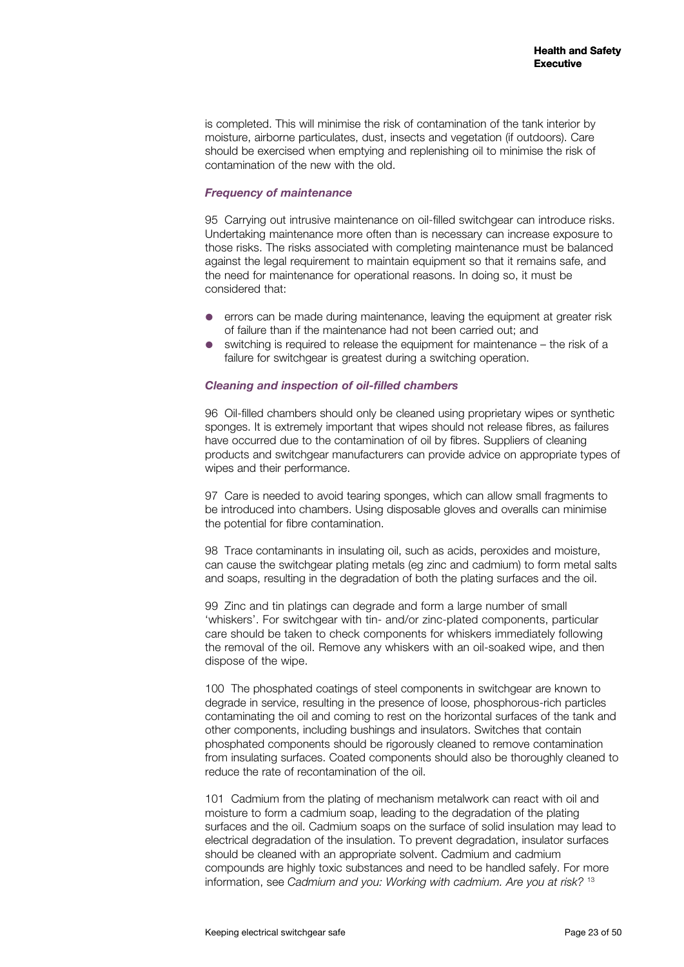is completed. This will minimise the risk of contamination of the tank interior by moisture, airborne particulates, dust, insects and vegetation (if outdoors). Care should be exercised when emptying and replenishing oil to minimise the risk of contamination of the new with the old.

#### *Frequency of maintenance*

95 Carrying out intrusive maintenance on oil-filled switchgear can introduce risks. Undertaking maintenance more often than is necessary can increase exposure to those risks. The risks associated with completing maintenance must be balanced against the legal requirement to maintain equipment so that it remains safe, and the need for maintenance for operational reasons. In doing so, it must be considered that:

- errors can be made during maintenance, leaving the equipment at greater risk of failure than if the maintenance had not been carried out; and
- switching is required to release the equipment for maintenance the risk of a failure for switchgear is greatest during a switching operation.

#### *Cleaning and inspection of oil-filled chambers*

96 Oil-filled chambers should only be cleaned using proprietary wipes or synthetic sponges. It is extremely important that wipes should not release fibres, as failures have occurred due to the contamination of oil by fibres. Suppliers of cleaning products and switchgear manufacturers can provide advice on appropriate types of wipes and their performance.

97 Care is needed to avoid tearing sponges, which can allow small fragments to be introduced into chambers. Using disposable gloves and overalls can minimise the potential for fibre contamination.

98 Trace contaminants in insulating oil, such as acids, peroxides and moisture, can cause the switchgear plating metals (eg zinc and cadmium) to form metal salts and soaps, resulting in the degradation of both the plating surfaces and the oil.

99 Zinc and tin platings can degrade and form a large number of small 'whiskers'. For switchgear with tin- and/or zinc-plated components, particular care should be taken to check components for whiskers immediately following the removal of the oil. Remove any whiskers with an oil-soaked wipe, and then dispose of the wipe.

100 The phosphated coatings of steel components in switchgear are known to degrade in service, resulting in the presence of loose, phosphorous-rich particles contaminating the oil and coming to rest on the horizontal surfaces of the tank and other components, including bushings and insulators. Switches that contain phosphated components should be rigorously cleaned to remove contamination from insulating surfaces. Coated components should also be thoroughly cleaned to reduce the rate of recontamination of the oil.

101 Cadmium from the plating of mechanism metalwork can react with oil and moisture to form a cadmium soap, leading to the degradation of the plating surfaces and the oil. Cadmium soaps on the surface of solid insulation may lead to electrical degradation of the insulation. To prevent degradation, insulator surfaces should be cleaned with an appropriate solvent. Cadmium and cadmium compounds are highly toxic substances and need to be handled safely. For more information, see *Cadmium and you: Working with cadmium. Are you at risk?* <sup>13</sup>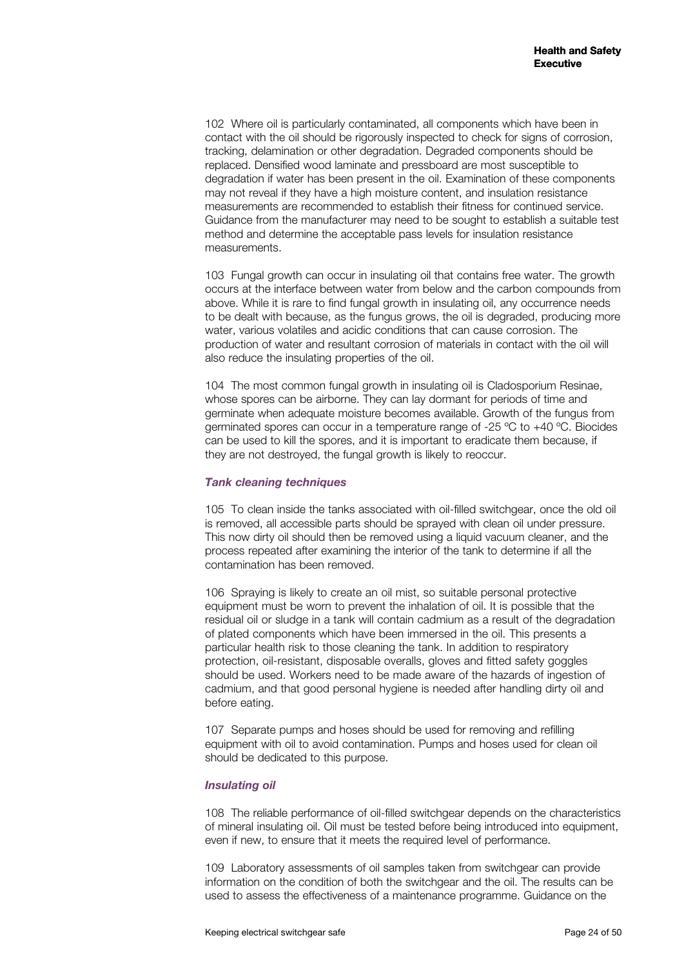102 Where oil is particularly contaminated, all components which have been in contact with the oil should be rigorously inspected to check for signs of corrosion, tracking, delamination or other degradation. Degraded components should be replaced. Densified wood laminate and pressboard are most susceptible to degradation if water has been present in the oil. Examination of these components may not reveal if they have a high moisture content, and insulation resistance measurements are recommended to establish their fitness for continued service. Guidance from the manufacturer may need to be sought to establish a suitable test method and determine the acceptable pass levels for insulation resistance measurements.

103 Fungal growth can occur in insulating oil that contains free water. The growth occurs at the interface between water from below and the carbon compounds from above. While it is rare to find fungal growth in insulating oil, any occurrence needs to be dealt with because, as the fungus grows, the oil is degraded, producing more water, various volatiles and acidic conditions that can cause corrosion. The production of water and resultant corrosion of materials in contact with the oil will also reduce the insulating properties of the oil.

104 The most common fungal growth in insulating oil is Cladosporium Resinae, whose spores can be airborne. They can lay dormant for periods of time and germinate when adequate moisture becomes available. Growth of the fungus from germinated spores can occur in a temperature range of -25 ºC to +40 ºC. Biocides can be used to kill the spores, and it is important to eradicate them because, if they are not destroyed, the fungal growth is likely to reoccur.

#### *Tank cleaning techniques*

105 To clean inside the tanks associated with oil-filled switchgear, once the old oil is removed, all accessible parts should be sprayed with clean oil under pressure. This now dirty oil should then be removed using a liquid vacuum cleaner, and the process repeated after examining the interior of the tank to determine if all the contamination has been removed.

106 Spraying is likely to create an oil mist, so suitable personal protective equipment must be worn to prevent the inhalation of oil. It is possible that the residual oil or sludge in a tank will contain cadmium as a result of the degradation of plated components which have been immersed in the oil. This presents a particular health risk to those cleaning the tank. In addition to respiratory protection, oil-resistant, disposable overalls, gloves and fitted safety goggles should be used. Workers need to be made aware of the hazards of ingestion of cadmium, and that good personal hygiene is needed after handling dirty oil and before eating.

107 Separate pumps and hoses should be used for removing and refilling equipment with oil to avoid contamination. Pumps and hoses used for clean oil should be dedicated to this purpose.

#### *Insulating oil*

108 The reliable performance of oil-filled switchgear depends on the characteristics of mineral insulating oil. Oil must be tested before being introduced into equipment, even if new, to ensure that it meets the required level of performance.

109 Laboratory assessments of oil samples taken from switchgear can provide information on the condition of both the switchgear and the oil. The results can be used to assess the effectiveness of a maintenance programme. Guidance on the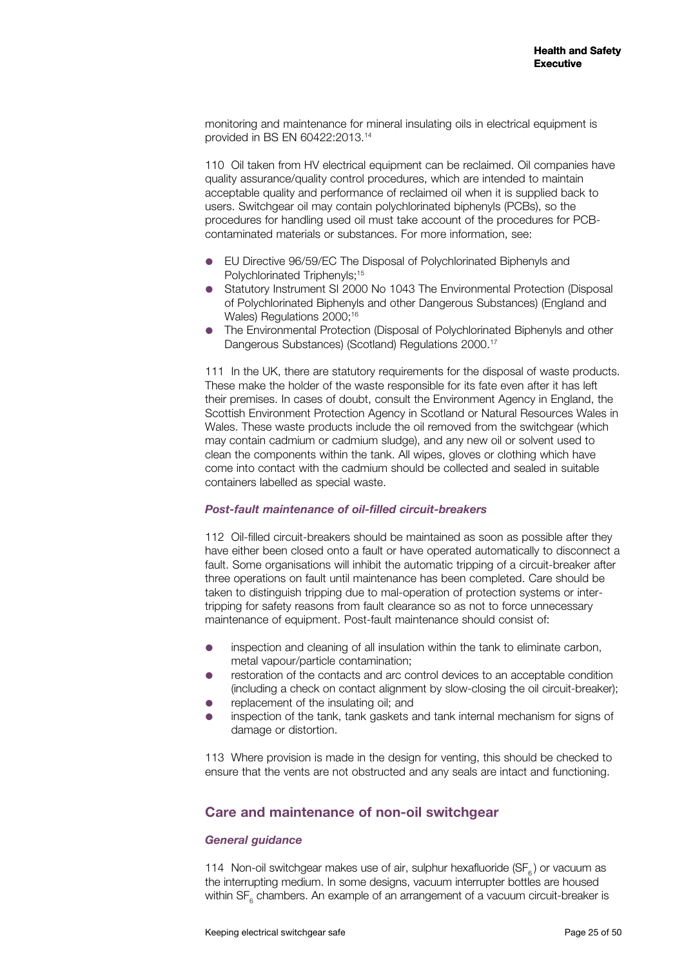monitoring and maintenance for mineral insulating oils in electrical equipment is provided in BS EN 60422:2013.14

110 Oil taken from HV electrical equipment can be reclaimed. Oil companies have quality assurance/quality control procedures, which are intended to maintain acceptable quality and performance of reclaimed oil when it is supplied back to users. Switchgear oil may contain polychlorinated biphenyls (PCBs), so the procedures for handling used oil must take account of the procedures for PCBcontaminated materials or substances. For more information, see:

- EU Directive 96/59/EC The Disposal of Polychlorinated Biphenyls and Polychlorinated Triphenyls:<sup>15</sup>
- Statutory Instrument SI 2000 No 1043 The Environmental Protection (Disposal of Polychlorinated Biphenyls and other Dangerous Substances) (England and Wales) Regulations 2000:<sup>16</sup>
- The Environmental Protection (Disposal of Polychlorinated Biphenyls and other Dangerous Substances) (Scotland) Regulations 2000.<sup>17</sup>

111 In the UK, there are statutory requirements for the disposal of waste products. These make the holder of the waste responsible for its fate even after it has left their premises. In cases of doubt, consult the Environment Agency in England, the Scottish Environment Protection Agency in Scotland or Natural Resources Wales in Wales. These waste products include the oil removed from the switchgear (which may contain cadmium or cadmium sludge), and any new oil or solvent used to clean the components within the tank. All wipes, gloves or clothing which have come into contact with the cadmium should be collected and sealed in suitable containers labelled as special waste.

#### *Post-fault maintenance of oil-filled circuit-breakers*

112 Oil-filled circuit-breakers should be maintained as soon as possible after they have either been closed onto a fault or have operated automatically to disconnect a fault. Some organisations will inhibit the automatic tripping of a circuit-breaker after three operations on fault until maintenance has been completed. Care should be taken to distinguish tripping due to mal-operation of protection systems or intertripping for safety reasons from fault clearance so as not to force unnecessary maintenance of equipment. Post-fault maintenance should consist of:

- inspection and cleaning of all insulation within the tank to eliminate carbon, metal vapour/particle contamination;
- restoration of the contacts and arc control devices to an acceptable condition (including a check on contact alignment by slow-closing the oil circuit-breaker);
- replacement of the insulating oil; and
- inspection of the tank, tank gaskets and tank internal mechanism for signs of damage or distortion.

113 Where provision is made in the design for venting, this should be checked to ensure that the vents are not obstructed and any seals are intact and functioning.

## **Care and maintenance of non-oil switchgear**

#### *General guidance*

114 Non-oil switchgear makes use of air, sulphur hexafluoride ( $SF<sub>6</sub>$ ) or vacuum as the interrupting medium. In some designs, vacuum interrupter bottles are housed within SF<sub>6</sub> chambers. An example of an arrangement of a vacuum circuit-breaker is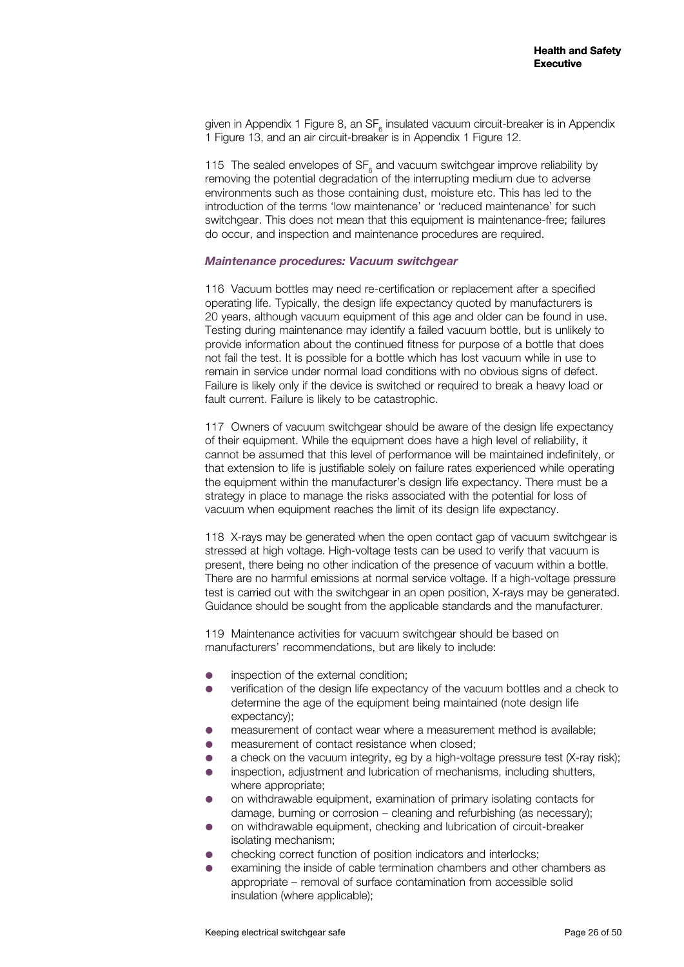given in Appendix 1 Figure 8, an SF<sub>6</sub> insulated vacuum circuit-breaker is in Appendix 1 Figure 13, and an air circuit-breaker is in Appendix 1 Figure 12.

115 The sealed envelopes of  $SF_{6}$  and vacuum switchgear improve reliability by removing the potential degradation of the interrupting medium due to adverse environments such as those containing dust, moisture etc. This has led to the introduction of the terms 'low maintenance' or 'reduced maintenance' for such switchgear. This does not mean that this equipment is maintenance-free; failures do occur, and inspection and maintenance procedures are required.

#### *Maintenance procedures: Vacuum switchgear*

116 Vacuum bottles may need re-certification or replacement after a specified operating life. Typically, the design life expectancy quoted by manufacturers is 20 years, although vacuum equipment of this age and older can be found in use. Testing during maintenance may identify a failed vacuum bottle, but is unlikely to provide information about the continued fitness for purpose of a bottle that does not fail the test. It is possible for a bottle which has lost vacuum while in use to remain in service under normal load conditions with no obvious signs of defect. Failure is likely only if the device is switched or required to break a heavy load or fault current. Failure is likely to be catastrophic.

117 Owners of vacuum switchgear should be aware of the design life expectancy of their equipment. While the equipment does have a high level of reliability, it cannot be assumed that this level of performance will be maintained indefinitely, or that extension to life is justifiable solely on failure rates experienced while operating the equipment within the manufacturer's design life expectancy. There must be a strategy in place to manage the risks associated with the potential for loss of vacuum when equipment reaches the limit of its design life expectancy.

118 X-rays may be generated when the open contact gap of vacuum switchgear is stressed at high voltage. High-voltage tests can be used to verify that vacuum is present, there being no other indication of the presence of vacuum within a bottle. There are no harmful emissions at normal service voltage. If a high-voltage pressure test is carried out with the switchgear in an open position, X-rays may be generated. Guidance should be sought from the applicable standards and the manufacturer.

119 Maintenance activities for vacuum switchgear should be based on manufacturers' recommendations, but are likely to include:

- **•** inspection of the external condition;
- verification of the design life expectancy of the vacuum bottles and a check to determine the age of the equipment being maintained (note design life expectancy);
- measurement of contact wear where a measurement method is available;
- measurement of contact resistance when closed;
- a check on the vacuum integrity, eg by a high-voltage pressure test (X-ray risk);
- inspection, adjustment and lubrication of mechanisms, including shutters, where appropriate;
- on withdrawable equipment, examination of primary isolating contacts for damage, burning or corrosion – cleaning and refurbishing (as necessary);
- on withdrawable equipment, checking and lubrication of circuit-breaker isolating mechanism;
- checking correct function of position indicators and interlocks;
- examining the inside of cable termination chambers and other chambers as appropriate – removal of surface contamination from accessible solid insulation (where applicable);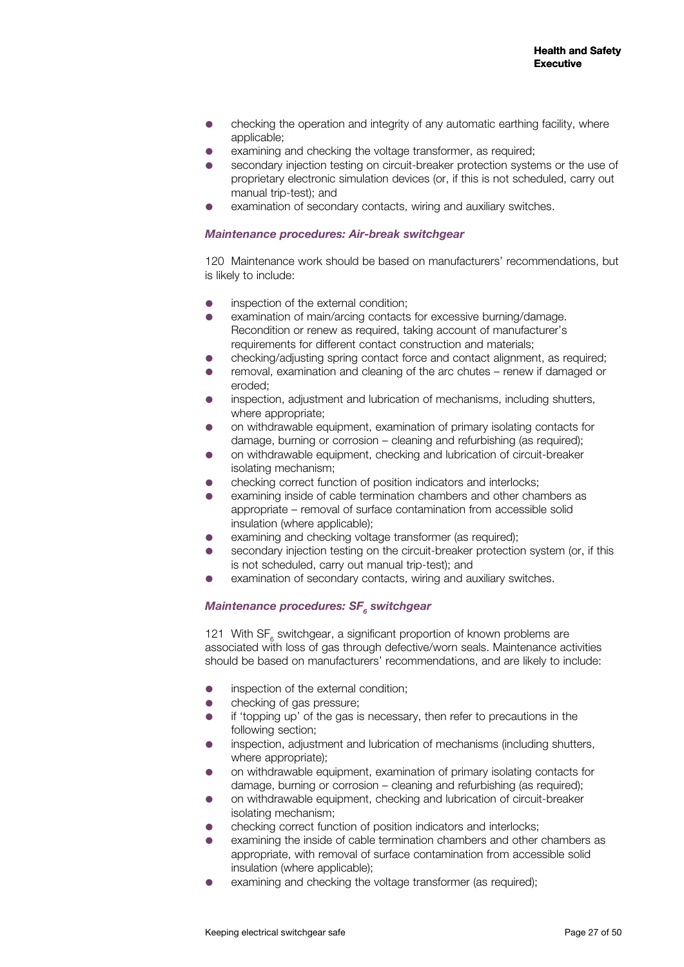- checking the operation and integrity of any automatic earthing facility, where applicable;
- examining and checking the voltage transformer, as required;
- secondary injection testing on circuit-breaker protection systems or the use of proprietary electronic simulation devices (or, if this is not scheduled, carry out manual trip-test); and
- examination of secondary contacts, wiring and auxiliary switches.

#### *Maintenance procedures: Air-break switchgear*

120 Maintenance work should be based on manufacturers' recommendations, but is likely to include:

- inspection of the external condition;
- examination of main/arcing contacts for excessive burning/damage. Recondition or renew as required, taking account of manufacturer's requirements for different contact construction and materials;
- checking/adjusting spring contact force and contact alignment, as required;
- removal, examination and cleaning of the arc chutes renew if damaged or eroded;
- inspection, adjustment and lubrication of mechanisms, including shutters, where appropriate:
- on withdrawable equipment, examination of primary isolating contacts for damage, burning or corrosion – cleaning and refurbishing (as required);
- on withdrawable equipment, checking and lubrication of circuit-breaker isolating mechanism;
- checking correct function of position indicators and interlocks;
- examining inside of cable termination chambers and other chambers as appropriate – removal of surface contamination from accessible solid insulation (where applicable);
- examining and checking voltage transformer (as required);
- secondary injection testing on the circuit-breaker protection system (or, if this is not scheduled, carry out manual trip-test); and
- examination of secondary contacts, wiring and auxiliary switches.

## $\emph{Maint}$ enance procedures: SF<sub>6</sub> switchgear

121 With  $SF_{6}$  switchgear, a significant proportion of known problems are associated with loss of gas through defective/worn seals. Maintenance activities should be based on manufacturers' recommendations, and are likely to include:

- inspection of the external condition;
- checking of gas pressure;
- if 'topping up' of the gas is necessary, then refer to precautions in the following section;
- inspection, adjustment and lubrication of mechanisms (including shutters, where appropriate);
- on withdrawable equipment, examination of primary isolating contacts for damage, burning or corrosion – cleaning and refurbishing (as required);
- on withdrawable equipment, checking and lubrication of circuit-breaker isolating mechanism;
- checking correct function of position indicators and interlocks;
- examining the inside of cable termination chambers and other chambers as appropriate, with removal of surface contamination from accessible solid insulation (where applicable);
- examining and checking the voltage transformer (as required);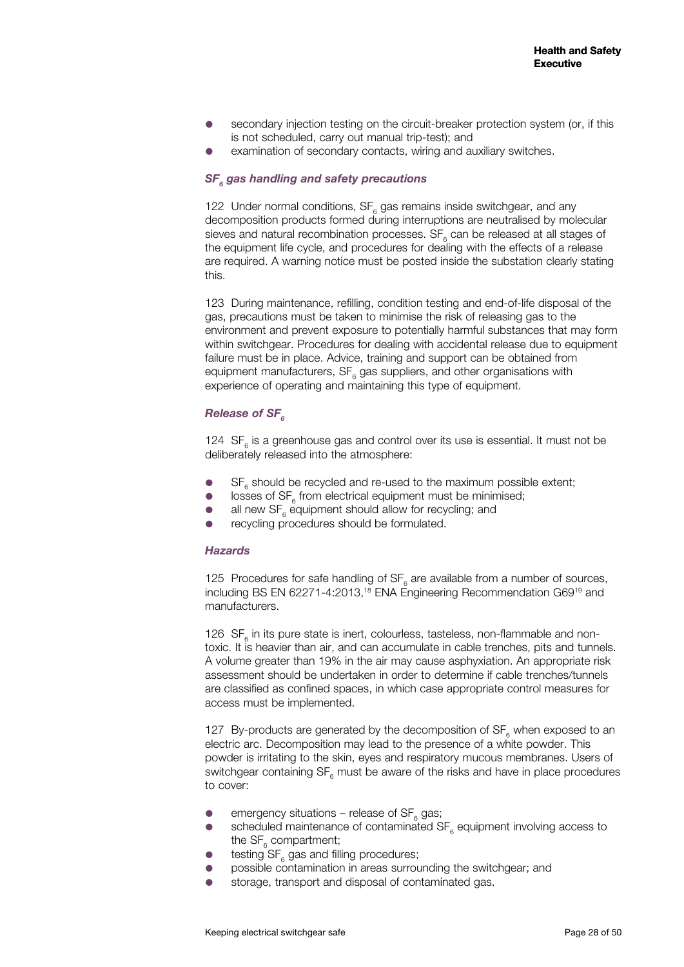- secondary injection testing on the circuit-breaker protection system (or, if this is not scheduled, carry out manual trip-test); and
- examination of secondary contacts, wiring and auxiliary switches.

## $\textsf{SF}_{\scriptscriptstyle{6}}$  gas handling and safety precautions

122 Under normal conditions,  $SF_{6}$  gas remains inside switchgear, and any decomposition products formed during interruptions are neutralised by molecular sieves and natural recombination processes.  $SF_{6}$  can be released at all stages of the equipment life cycle, and procedures for dealing with the effects of a release are required. A warning notice must be posted inside the substation clearly stating this.

123 During maintenance, refilling, condition testing and end-of-life disposal of the gas, precautions must be taken to minimise the risk of releasing gas to the environment and prevent exposure to potentially harmful substances that may form within switchgear. Procedures for dealing with accidental release due to equipment failure must be in place. Advice, training and support can be obtained from equipment manufacturers,  $SF_{6}$  gas suppliers, and other organisations with experience of operating and maintaining this type of equipment.

#### **Release of SF<sub>6</sub>**

124  $SF<sub>6</sub>$  is a greenhouse gas and control over its use is essential. It must not be deliberately released into the atmosphere:

- $\bullet$  SF<sub>6</sub> should be recycled and re-used to the maximum possible extent;
- $\bullet$  losses of SF<sub>6</sub> from electrical equipment must be minimised;
- $\bullet$  all new SF<sub>6</sub> equipment should allow for recycling; and
- recycling procedures should be formulated.

#### *Hazards*

125 Procedures for safe handling of  $SF_{6}$  are available from a number of sources, including BS EN 62271-4:2013,<sup>18</sup> ENA Engineering Recommendation G69<sup>19</sup> and manufacturers.

126  $SF_{6}$  in its pure state is inert, colourless, tasteless, non-flammable and nontoxic. It is heavier than air, and can accumulate in cable trenches, pits and tunnels. A volume greater than 19% in the air may cause asphyxiation. An appropriate risk assessment should be undertaken in order to determine if cable trenches/tunnels are classified as confined spaces, in which case appropriate control measures for access must be implemented.

127 By-products are generated by the decomposition of  $SF_{6}$  when exposed to an electric arc. Decomposition may lead to the presence of a white powder. This powder is irritating to the skin, eyes and respiratory mucous membranes. Users of switchgear containing  $SF_{6}$  must be aware of the risks and have in place procedures to cover:

- **e** emergency situations release of  $SF_{6}$  gas;
- scheduled maintenance of contaminated  $SF_{6}$  equipment involving access to the  $\text{SF}_6$  compartment;
- $\bullet$  testing SF<sub>6</sub> gas and filling procedures;
- possible contamination in areas surrounding the switchgear; and
- storage, transport and disposal of contaminated gas.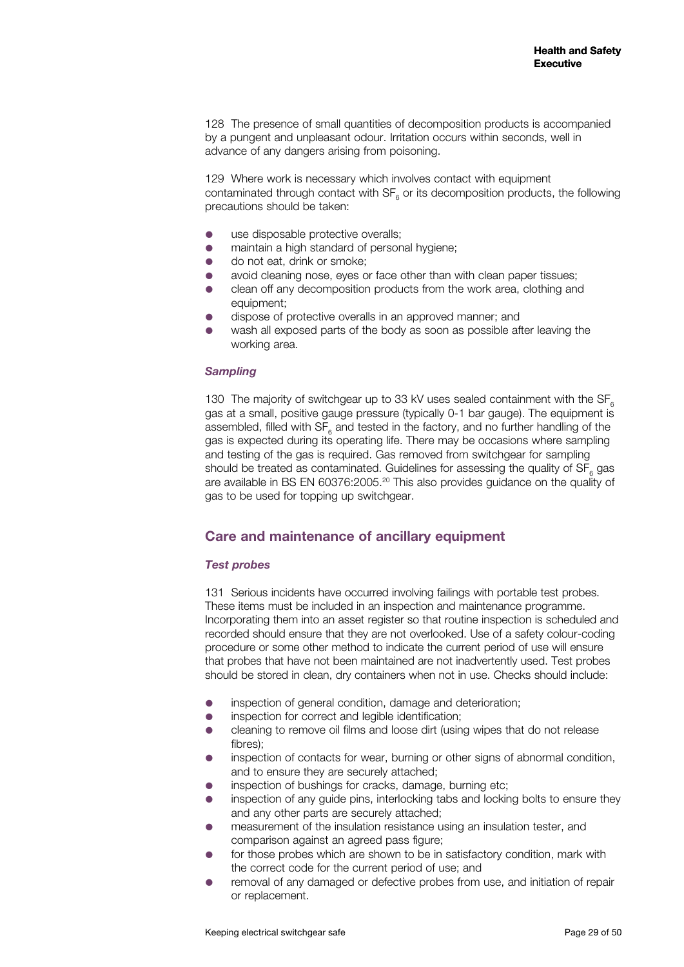128 The presence of small quantities of decomposition products is accompanied by a pungent and unpleasant odour. Irritation occurs within seconds, well in advance of any dangers arising from poisoning.

129 Where work is necessary which involves contact with equipment contaminated through contact with  $SF_{6}$  or its decomposition products, the following precautions should be taken:

- use disposable protective overalls;
- maintain a high standard of personal hygiene:
- do not eat, drink or smoke;
- avoid cleaning nose, eyes or face other than with clean paper tissues;
- clean off any decomposition products from the work area, clothing and equipment;
- dispose of protective overalls in an approved manner; and
- wash all exposed parts of the body as soon as possible after leaving the working area.

#### *Sampling*

130 The majority of switchgear up to 33 kV uses sealed containment with the SF. gas at a small, positive gauge pressure (typically 0-1 bar gauge). The equipment is assembled, filled with  $SF_{6}$  and tested in the factory, and no further handling of the gas is expected during its operating life. There may be occasions where sampling and testing of the gas is required. Gas removed from switchgear for sampling should be treated as contaminated. Guidelines for assessing the quality of  $SF_{6}$  gas are available in BS EN 60376:2005.20 This also provides guidance on the quality of gas to be used for topping up switchgear.

## **Care and maintenance of ancillary equipment**

#### *Test probes*

131 Serious incidents have occurred involving failings with portable test probes. These items must be included in an inspection and maintenance programme. Incorporating them into an asset register so that routine inspection is scheduled and recorded should ensure that they are not overlooked. Use of a safety colour-coding procedure or some other method to indicate the current period of use will ensure that probes that have not been maintained are not inadvertently used. Test probes should be stored in clean, dry containers when not in use. Checks should include:

- inspection of general condition, damage and deterioration;
- **•** inspection for correct and legible identification;
- cleaning to remove oil films and loose dirt (using wipes that do not release fibres);
- inspection of contacts for wear, burning or other signs of abnormal condition, and to ensure they are securely attached;
- inspection of bushings for cracks, damage, burning etc;
- inspection of any guide pins, interlocking tabs and locking bolts to ensure they and any other parts are securely attached;
- measurement of the insulation resistance using an insulation tester, and comparison against an agreed pass figure;
- for those probes which are shown to be in satisfactory condition, mark with the correct code for the current period of use; and
- removal of any damaged or defective probes from use, and initiation of repair or replacement.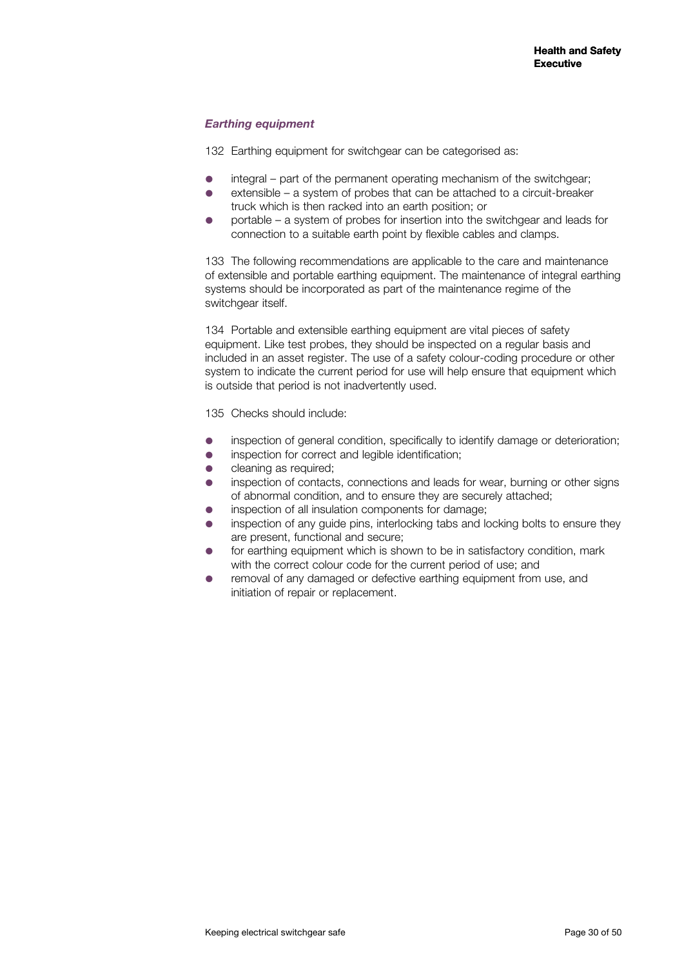## *Earthing equipment*

132 Earthing equipment for switchgear can be categorised as:

- integral part of the permanent operating mechanism of the switchgear;
- extensible a system of probes that can be attached to a circuit-breaker truck which is then racked into an earth position; or
- portable a system of probes for insertion into the switchgear and leads for connection to a suitable earth point by flexible cables and clamps.

133 The following recommendations are applicable to the care and maintenance of extensible and portable earthing equipment. The maintenance of integral earthing systems should be incorporated as part of the maintenance regime of the switchgear itself.

134 Portable and extensible earthing equipment are vital pieces of safety equipment. Like test probes, they should be inspected on a regular basis and included in an asset register. The use of a safety colour-coding procedure or other system to indicate the current period for use will help ensure that equipment which is outside that period is not inadvertently used.

135 Checks should include:

- inspection of general condition, specifically to identify damage or deterioration;
- inspection for correct and legible identification;
- cleaning as required;
- inspection of contacts, connections and leads for wear, burning or other signs of abnormal condition, and to ensure they are securely attached;
- inspection of all insulation components for damage;
- inspection of any guide pins, interlocking tabs and locking bolts to ensure they are present, functional and secure;
- for earthing equipment which is shown to be in satisfactory condition, mark with the correct colour code for the current period of use; and
- removal of any damaged or defective earthing equipment from use, and initiation of repair or replacement.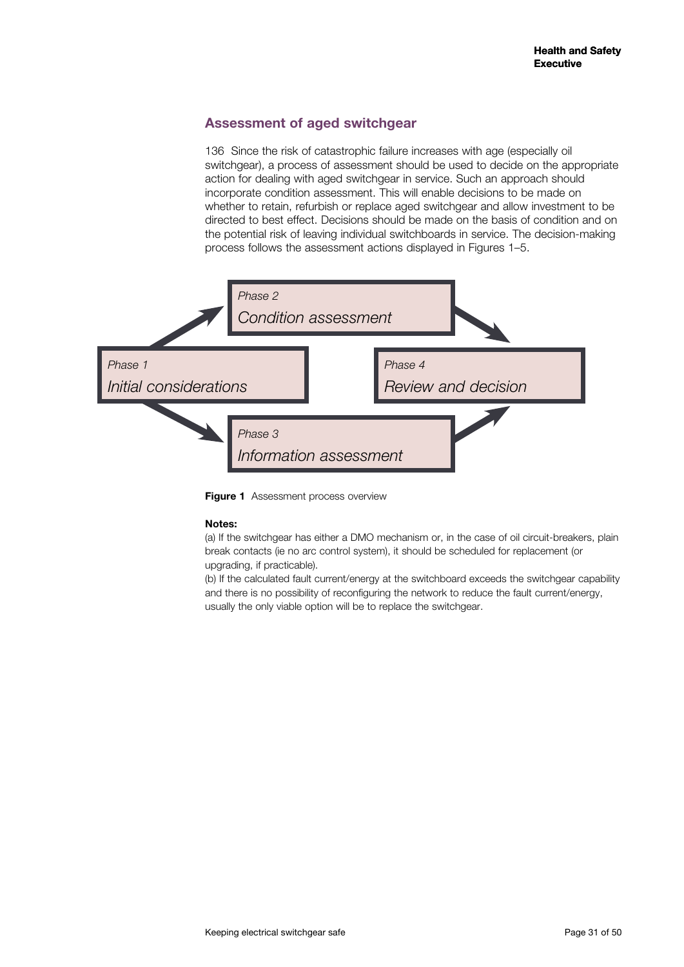## **Assessment of aged switchgear**

136 Since the risk of catastrophic failure increases with age (especially oil switchgear), a process of assessment should be used to decide on the appropriate action for dealing with aged switchgear in service. Such an approach should incorporate condition assessment. This will enable decisions to be made on whether to retain, refurbish or replace aged switchgear and allow investment to be directed to best effect. Decisions should be made on the basis of condition and on the potential risk of leaving individual switchboards in service. The decision-making process follows the assessment actions displayed in Figures 1–5.



**Figure 1** Assessment process overview

#### **Notes:**

(a) If the switchgear has either a DMO mechanism or, in the case of oil circuit-breakers, plain break contacts (ie no arc control system), it should be scheduled for replacement (or upgrading, if practicable).

(b) If the calculated fault current/energy at the switchboard exceeds the switchgear capability and there is no possibility of reconfiguring the network to reduce the fault current/energy, usually the only viable option will be to replace the switchgear.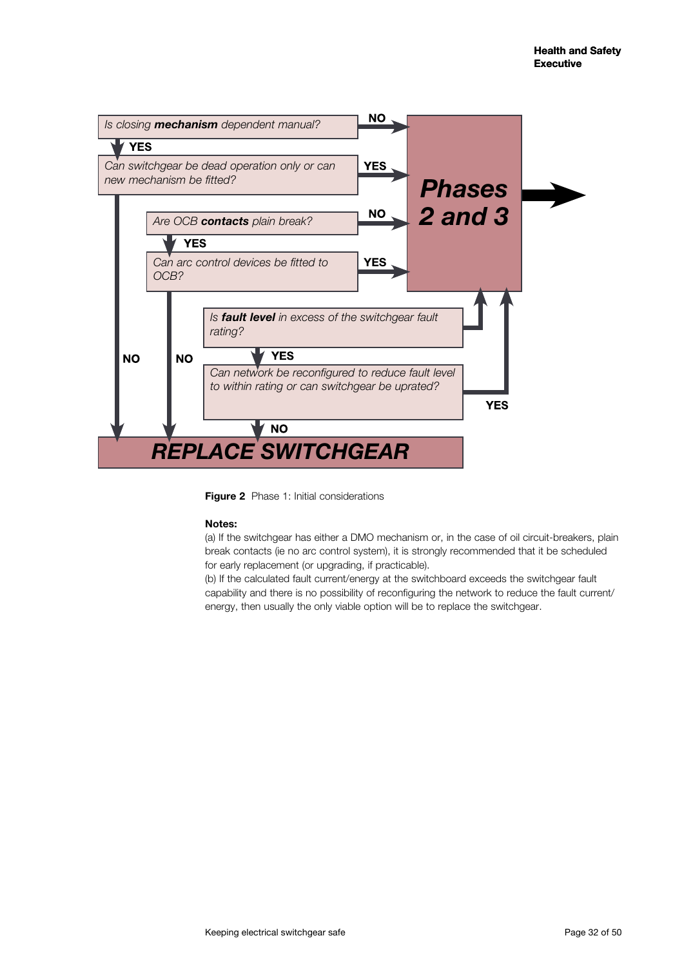

**Figure 2** Phase 1: Initial considerations

#### **Notes:**

(a) If the switchgear has either a DMO mechanism or, in the case of oil circuit-breakers, plain break contacts (ie no arc control system), it is strongly recommended that it be scheduled for early replacement (or upgrading, if practicable).

(b) If the calculated fault current/energy at the switchboard exceeds the switchgear fault capability and there is no possibility of reconfiguring the network to reduce the fault current/ energy, then usually the only viable option will be to replace the switchgear.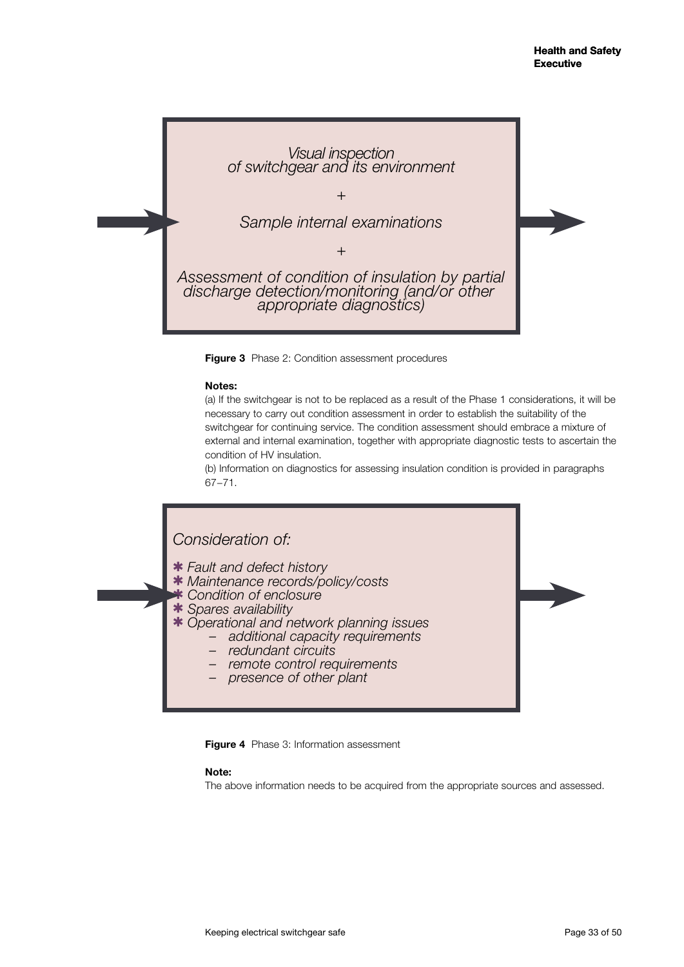

**Figure 3** Phase 2: Condition assessment procedures

#### **Notes:**

(a) If the switchgear is not to be replaced as a result of the Phase 1 considerations, it will be necessary to carry out condition assessment in order to establish the suitability of the switchgear for continuing service. The condition assessment should embrace a mixture of external and internal examination, together with appropriate diagnostic tests to ascertain the condition of HV insulation.

(b) Information on diagnostics for assessing insulation condition is provided in paragraphs 67−71.

## *Consideration of:*

- *Fault and defect history*
- *Maintenance records/policy/costs*
- *Condition of enclosure*
- *Spares availability*
- *Operational and network planning issues additional capacity requirements redundant circuits remote control requirements presence of other plant* 
	-
	-
	-

**Figure 4** Phase 3: Information assessment

#### **Note:**

The above information needs to be acquired from the appropriate sources and assessed.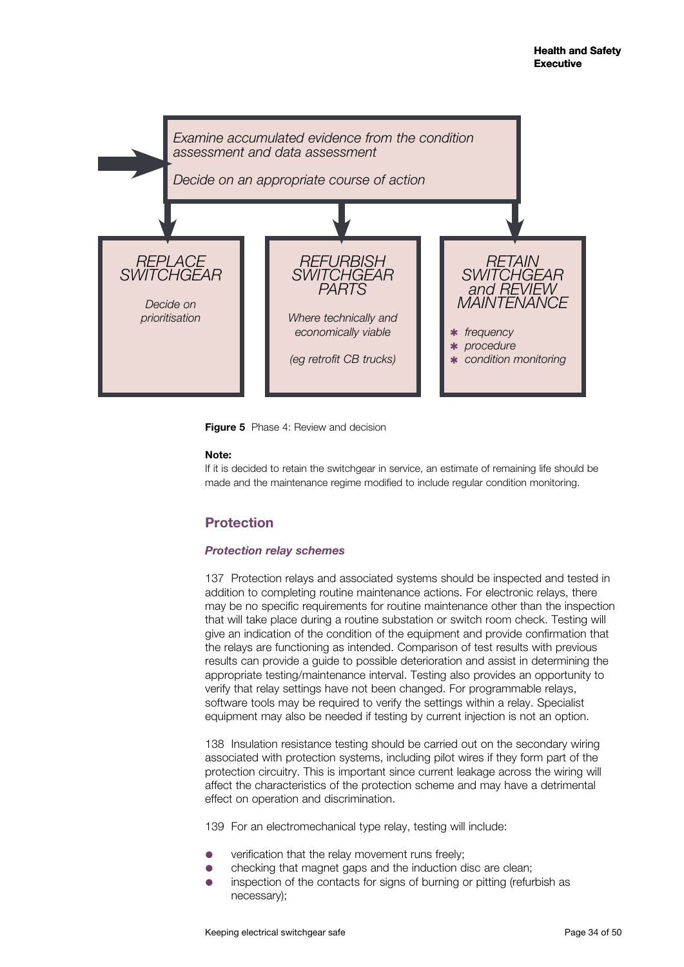

**Figure 5** Phase 4: Review and decision

#### **Note:**

If it is decided to retain the switchgear in service, an estimate of remaining life should be made and the maintenance regime modified to include regular condition monitoring.

## **Protection**

## *Protection relay schemes*

137 Protection relays and associated systems should be inspected and tested in addition to completing routine maintenance actions. For electronic relays, there may be no specific requirements for routine maintenance other than the inspection that will take place during a routine substation or switch room check. Testing will give an indication of the condition of the equipment and provide confirmation that the relays are functioning as intended. Comparison of test results with previous results can provide a guide to possible deterioration and assist in determining the appropriate testing/maintenance interval. Testing also provides an opportunity to verify that relay settings have not been changed. For programmable relays, software tools may be required to verify the settings within a relay. Specialist equipment may also be needed if testing by current injection is not an option.

138 Insulation resistance testing should be carried out on the secondary wiring associated with protection systems, including pilot wires if they form part of the protection circuitry. This is important since current leakage across the wiring will affect the characteristics of the protection scheme and may have a detrimental effect on operation and discrimination.

139 For an electromechanical type relay, testing will include:

- verification that the relay movement runs freely;
- checking that magnet gaps and the induction disc are clean;
- inspection of the contacts for signs of burning or pitting (refurbish as necessary);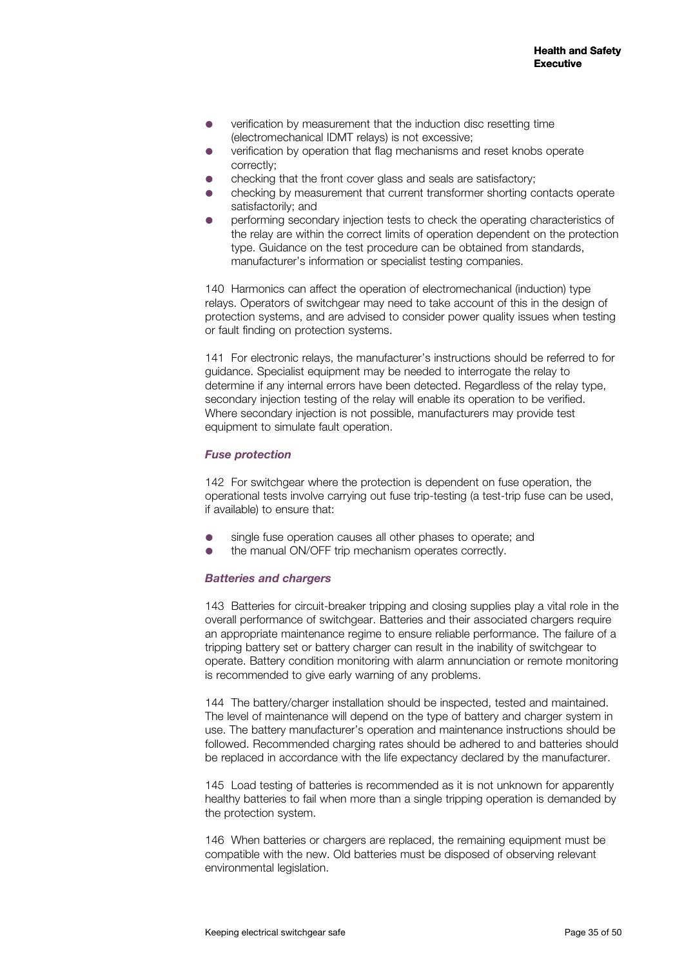- verification by measurement that the induction disc resetting time (electromechanical IDMT relays) is not excessive;
- verification by operation that flag mechanisms and reset knobs operate correctly;
- checking that the front cover glass and seals are satisfactory;
- checking by measurement that current transformer shorting contacts operate satisfactorily; and
- performing secondary injection tests to check the operating characteristics of the relay are within the correct limits of operation dependent on the protection type. Guidance on the test procedure can be obtained from standards, manufacturer's information or specialist testing companies.

140 Harmonics can affect the operation of electromechanical (induction) type relays. Operators of switchgear may need to take account of this in the design of protection systems, and are advised to consider power quality issues when testing or fault finding on protection systems.

141 For electronic relays, the manufacturer's instructions should be referred to for guidance. Specialist equipment may be needed to interrogate the relay to determine if any internal errors have been detected. Regardless of the relay type, secondary injection testing of the relay will enable its operation to be verified. Where secondary injection is not possible, manufacturers may provide test equipment to simulate fault operation.

#### *Fuse protection*

142 For switchgear where the protection is dependent on fuse operation, the operational tests involve carrying out fuse trip-testing (a test-trip fuse can be used, if available) to ensure that:

- single fuse operation causes all other phases to operate; and
- the manual ON/OFF trip mechanism operates correctly.

#### *Batteries and chargers*

143 Batteries for circuit-breaker tripping and closing supplies play a vital role in the overall performance of switchgear. Batteries and their associated chargers require an appropriate maintenance regime to ensure reliable performance. The failure of a tripping battery set or battery charger can result in the inability of switchgear to operate. Battery condition monitoring with alarm annunciation or remote monitoring is recommended to give early warning of any problems.

144 The battery/charger installation should be inspected, tested and maintained. The level of maintenance will depend on the type of battery and charger system in use. The battery manufacturer's operation and maintenance instructions should be followed. Recommended charging rates should be adhered to and batteries should be replaced in accordance with the life expectancy declared by the manufacturer.

145 Load testing of batteries is recommended as it is not unknown for apparently healthy batteries to fail when more than a single tripping operation is demanded by the protection system.

146 When batteries or chargers are replaced, the remaining equipment must be compatible with the new. Old batteries must be disposed of observing relevant environmental legislation.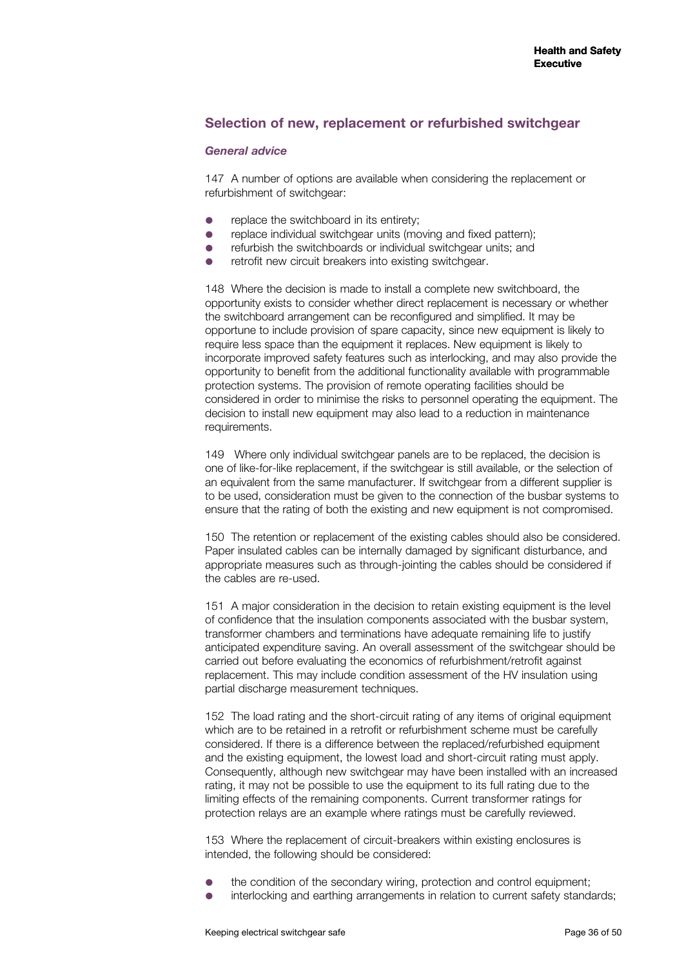#### **Selection of new, replacement or refurbished switchgear**

#### *General advice*

147 A number of options are available when considering the replacement or refurbishment of switchgear:

- replace the switchboard in its entirety;
- replace individual switchgear units (moving and fixed pattern):
- refurbish the switchboards or individual switchgear units; and
- retrofit new circuit breakers into existing switchgear.

148 Where the decision is made to install a complete new switchboard, the opportunity exists to consider whether direct replacement is necessary or whether the switchboard arrangement can be reconfigured and simplified. It may be opportune to include provision of spare capacity, since new equipment is likely to require less space than the equipment it replaces. New equipment is likely to incorporate improved safety features such as interlocking, and may also provide the opportunity to benefit from the additional functionality available with programmable protection systems. The provision of remote operating facilities should be considered in order to minimise the risks to personnel operating the equipment. The decision to install new equipment may also lead to a reduction in maintenance requirements.

149 Where only individual switchgear panels are to be replaced, the decision is one of like-for-like replacement, if the switchgear is still available, or the selection of an equivalent from the same manufacturer. If switchgear from a different supplier is to be used, consideration must be given to the connection of the busbar systems to ensure that the rating of both the existing and new equipment is not compromised.

150 The retention or replacement of the existing cables should also be considered. Paper insulated cables can be internally damaged by significant disturbance, and appropriate measures such as through-jointing the cables should be considered if the cables are re-used.

151 A major consideration in the decision to retain existing equipment is the level of confidence that the insulation components associated with the busbar system, transformer chambers and terminations have adequate remaining life to justify anticipated expenditure saving. An overall assessment of the switchgear should be carried out before evaluating the economics of refurbishment/retrofit against replacement. This may include condition assessment of the HV insulation using partial discharge measurement techniques.

152 The load rating and the short-circuit rating of any items of original equipment which are to be retained in a retrofit or refurbishment scheme must be carefully considered. If there is a difference between the replaced/refurbished equipment and the existing equipment, the lowest load and short-circuit rating must apply. Consequently, although new switchgear may have been installed with an increased rating, it may not be possible to use the equipment to its full rating due to the limiting effects of the remaining components. Current transformer ratings for protection relays are an example where ratings must be carefully reviewed.

153 Where the replacement of circuit-breakers within existing enclosures is intended, the following should be considered:

- the condition of the secondary wiring, protection and control equipment;
- interlocking and earthing arrangements in relation to current safety standards;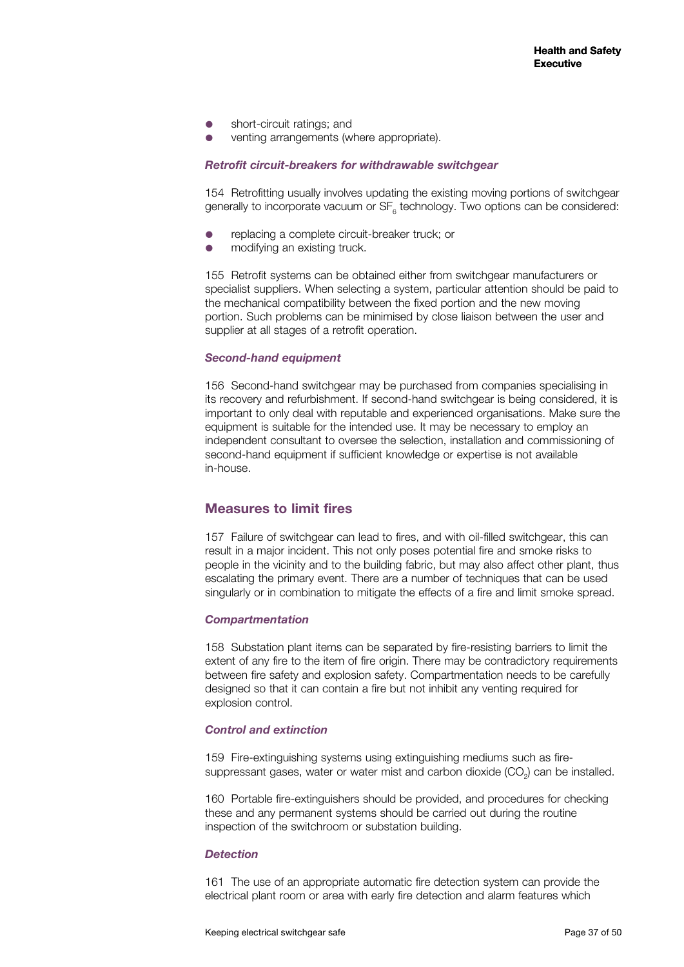- short-circuit ratings; and
- venting arrangements (where appropriate).

#### *Retrofit circuit-breakers for withdrawable switchgear*

154 Retrofitting usually involves updating the existing moving portions of switchgear generally to incorporate vacuum or  $SF_{6}$  technology. Two options can be considered:

- replacing a complete circuit-breaker truck; or
- modifying an existing truck.

155 Retrofit systems can be obtained either from switchgear manufacturers or specialist suppliers. When selecting a system, particular attention should be paid to the mechanical compatibility between the fixed portion and the new moving portion. Such problems can be minimised by close liaison between the user and supplier at all stages of a retrofit operation.

#### *Second-hand equipment*

156 Second-hand switchgear may be purchased from companies specialising in its recovery and refurbishment. If second-hand switchgear is being considered, it is important to only deal with reputable and experienced organisations. Make sure the equipment is suitable for the intended use. It may be necessary to employ an independent consultant to oversee the selection, installation and commissioning of second-hand equipment if sufficient knowledge or expertise is not available in-house.

## **Measures to limit fires**

157 Failure of switchgear can lead to fires, and with oil-filled switchgear, this can result in a major incident. This not only poses potential fire and smoke risks to people in the vicinity and to the building fabric, but may also affect other plant, thus escalating the primary event. There are a number of techniques that can be used singularly or in combination to mitigate the effects of a fire and limit smoke spread.

#### *Compartmentation*

158 Substation plant items can be separated by fire-resisting barriers to limit the extent of any fire to the item of fire origin. There may be contradictory requirements between fire safety and explosion safety. Compartmentation needs to be carefully designed so that it can contain a fire but not inhibit any venting required for explosion control.

#### *Control and extinction*

159 Fire-extinguishing systems using extinguishing mediums such as firesuppressant gases, water or water mist and carbon dioxide  $(CO<sub>2</sub>)$  can be installed.

160 Portable fire-extinguishers should be provided, and procedures for checking these and any permanent systems should be carried out during the routine inspection of the switchroom or substation building.

#### *Detection*

161 The use of an appropriate automatic fire detection system can provide the electrical plant room or area with early fire detection and alarm features which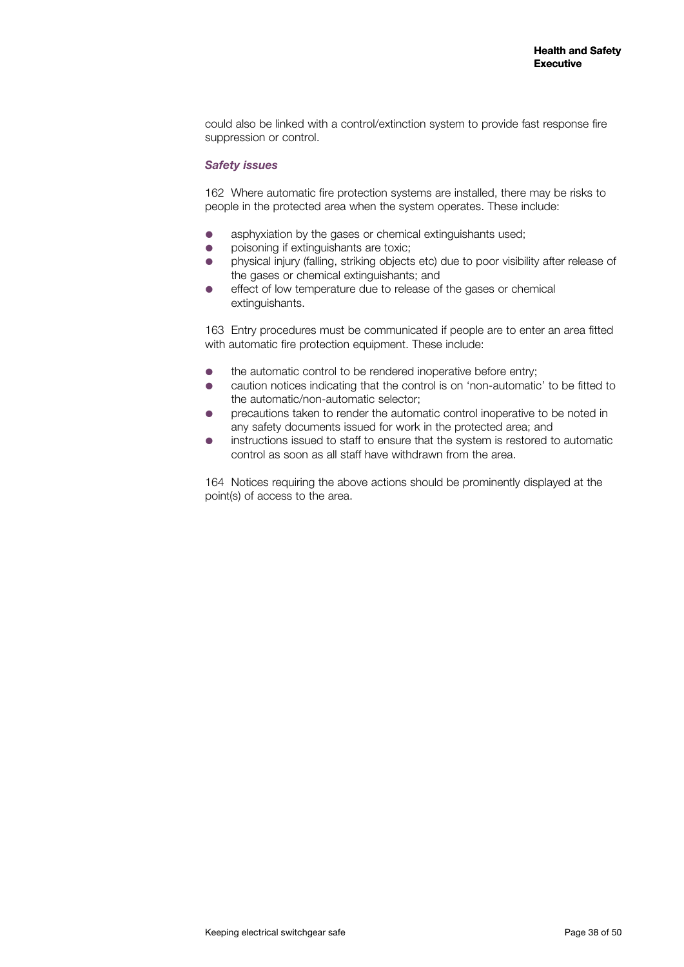could also be linked with a control/extinction system to provide fast response fire suppression or control.

#### *Safety issues*

162 Where automatic fire protection systems are installed, there may be risks to people in the protected area when the system operates. These include:

- asphyxiation by the gases or chemical extinguishants used;
- poisoning if extinguishants are toxic;
- physical injury (falling, striking objects etc) due to poor visibility after release of the gases or chemical extinguishants; and
- effect of low temperature due to release of the gases or chemical extinguishants.

163 Entry procedures must be communicated if people are to enter an area fitted with automatic fire protection equipment. These include:

- the automatic control to be rendered inoperative before entry;
- caution notices indicating that the control is on 'non-automatic' to be fitted to the automatic/non-automatic selector;
- precautions taken to render the automatic control inoperative to be noted in any safety documents issued for work in the protected area; and
- instructions issued to staff to ensure that the system is restored to automatic control as soon as all staff have withdrawn from the area.

164 Notices requiring the above actions should be prominently displayed at the point(s) of access to the area.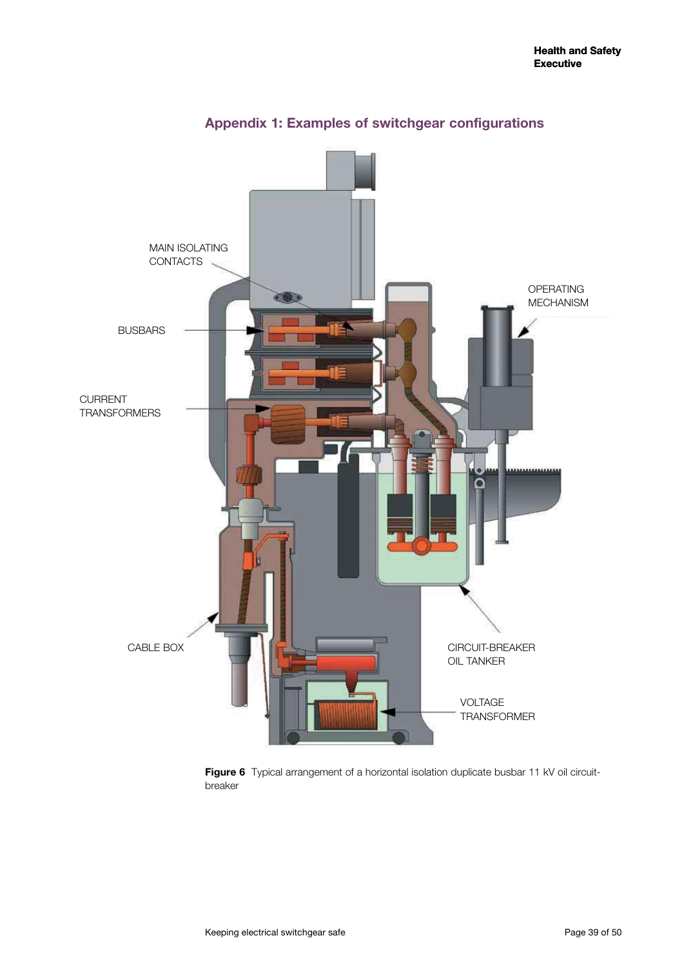

## **Appendix 1: Examples of switchgear configurations**

Figure 6 Typical arrangement of a horizontal isolation duplicate busbar 11 kV oil circuitbreaker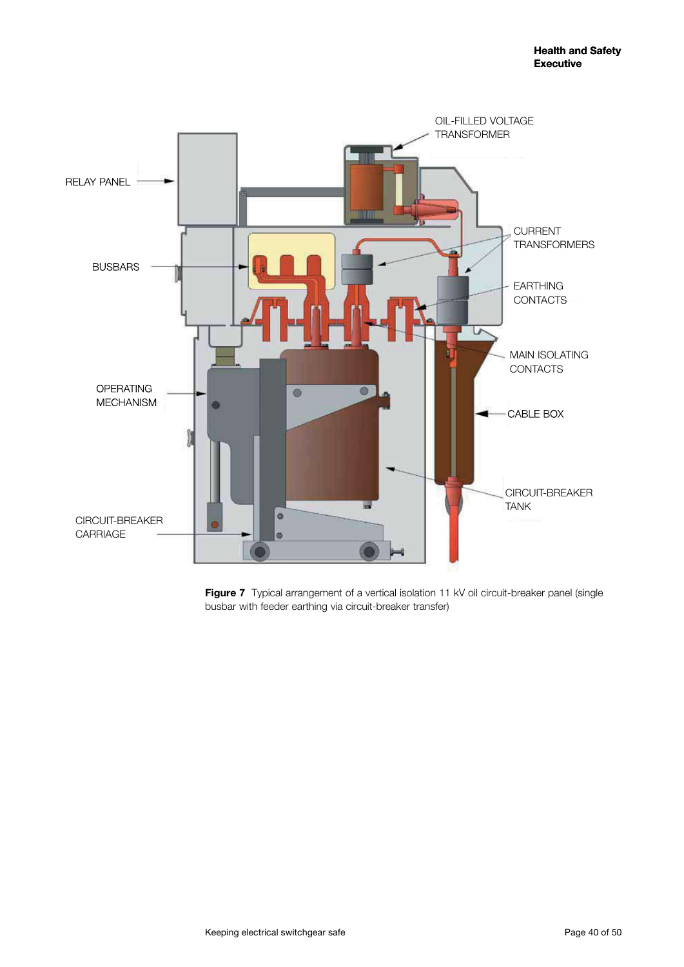

Figure 7 Typical arrangement of a vertical isolation 11 kV oil circuit-breaker panel (single busbar with feeder earthing via circuit-breaker transfer)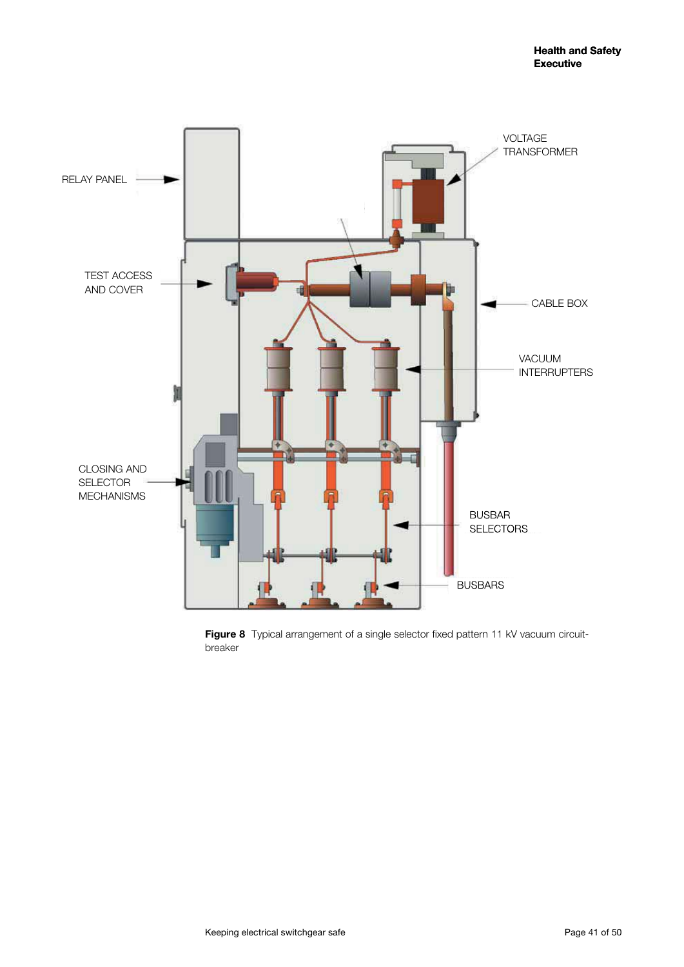

Figure 8 Typical arrangement of a single selector fixed pattern 11 kV vacuum circuitbreaker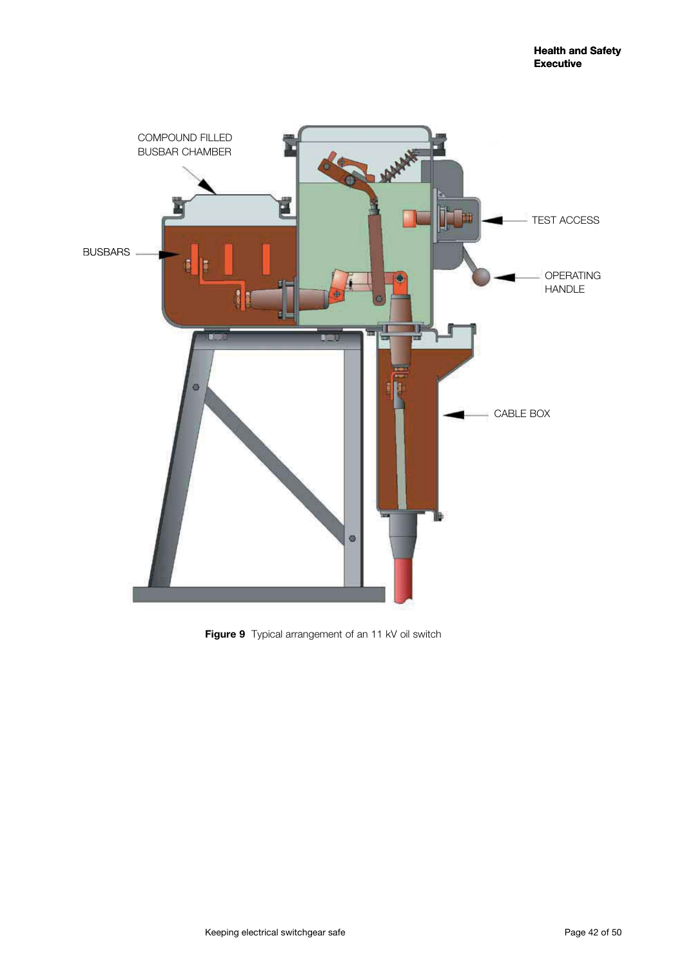

**Figure 9** Typical arrangement of an 11 kV oil switch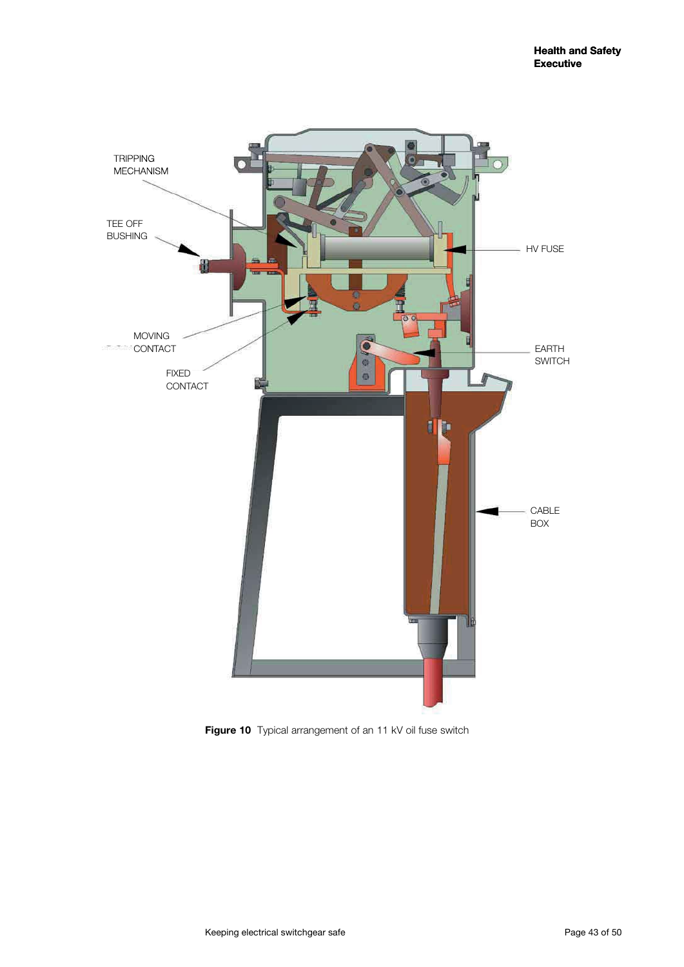

Figure 10 Typical arrangement of an 11 kV oil fuse switch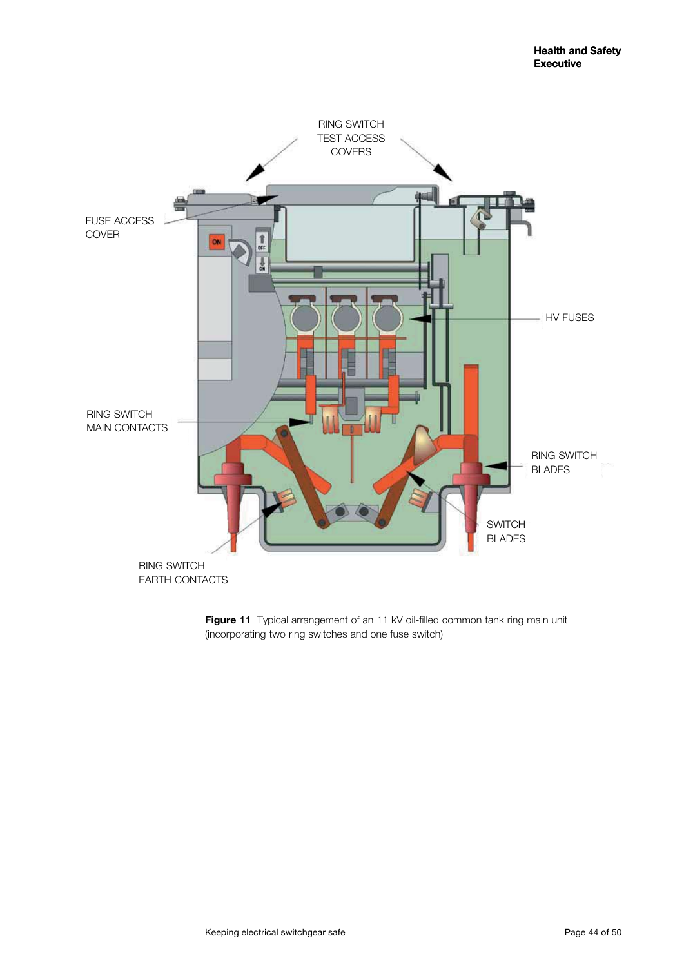

Figure 11 Typical arrangement of an 11 kV oil-filled common tank ring main unit (incorporating two ring switches and one fuse switch)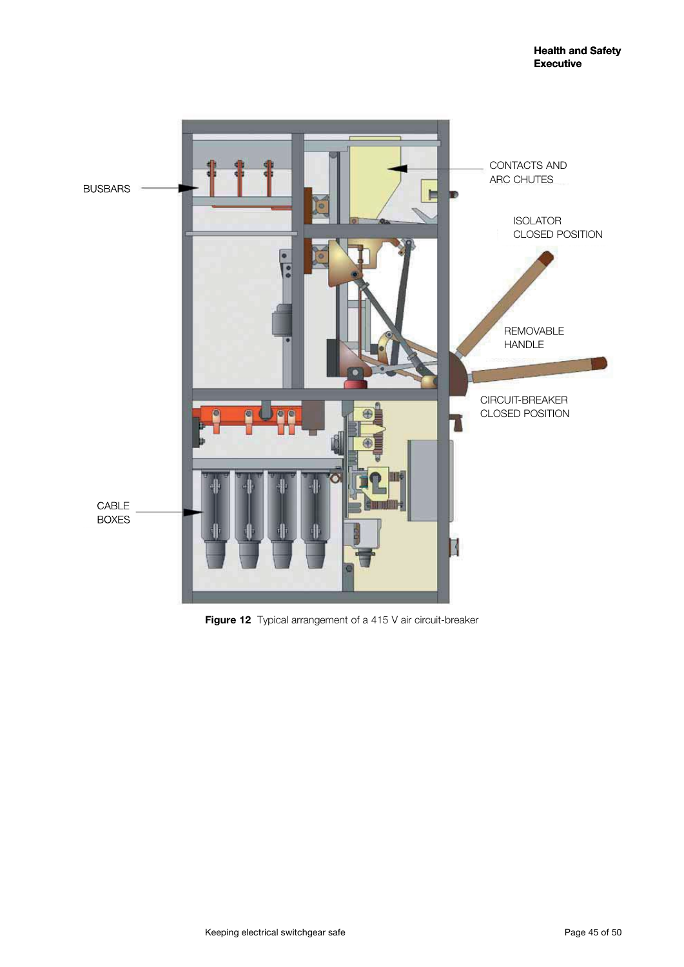

Figure 12 Typical arrangement of a 415 V air circuit-breaker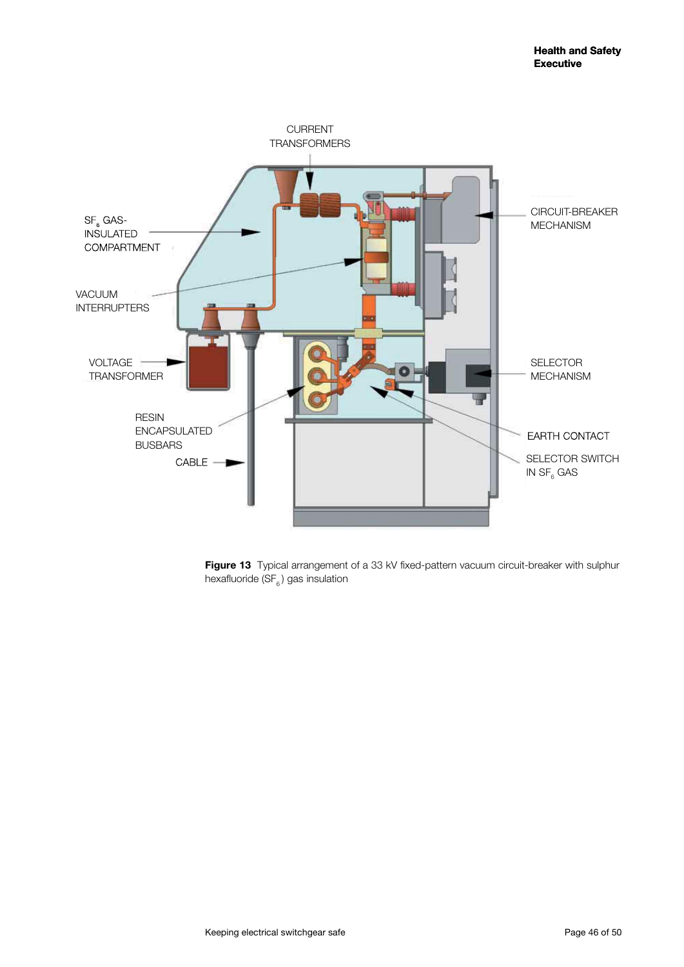

Figure 13 Typical arrangement of a 33 kV fixed-pattern vacuum circuit-breaker with sulphur hexafluoride  $(SF_6)$  gas insulation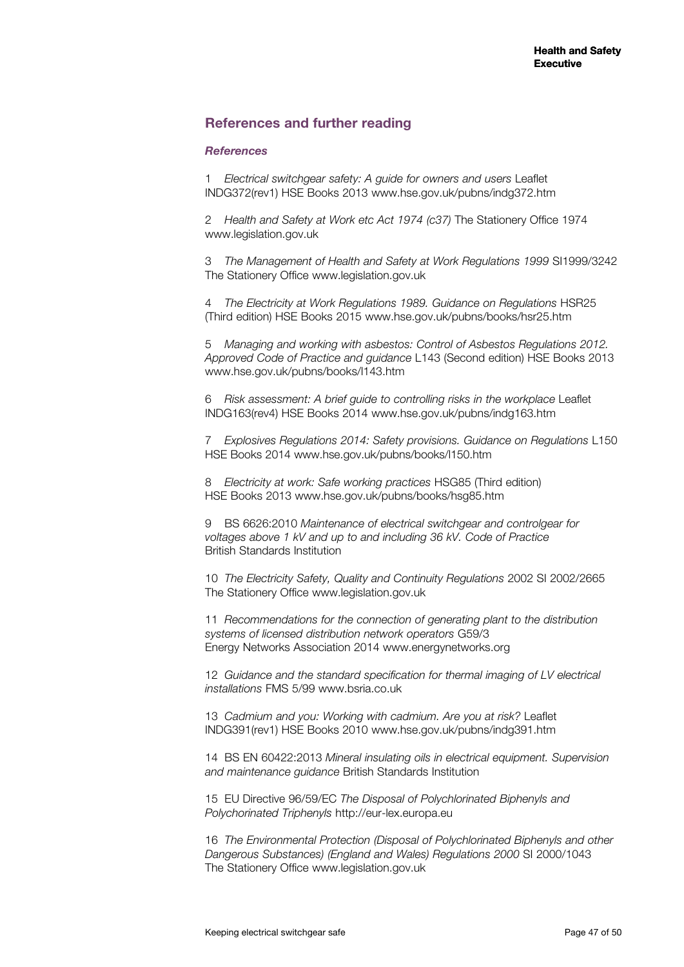## **References and further reading**

#### *References*

1 *Electrical switchgear safety: A guide for owners and users* Leaflet INDG372(rev1) HSE Books 2013 www.hse.gov.uk/pubns/indg372.htm

2 *Health and Safety at Work etc Act 1974 (c37)* The Stationery Office 1974 www.legislation.gov.uk

3 *The Management of Health and Safety at Work Regulations 1999* SI1999/3242 The Stationery Office www.legislation.gov.uk

4 *The Electricity at Work Regulations 1989. Guidance on Regulations* HSR25 (Third edition) HSE Books 2015 www.hse.gov.uk/pubns/books/hsr25.htm

5 *Managing and working with asbestos: Control of Asbestos Regulations 2012. Approved Code of Practice and guidance* L143 (Second edition) HSE Books 2013 www.hse.gov.uk/pubns/books/l143.htm

6 *Risk assessment: A brief guide to controlling risks in the workplace* Leaflet INDG163(rev4) HSE Books 2014 www.hse.gov.uk/pubns/indg163.htm

7 *Explosives Regulations 2014: Safety provisions. Guidance on Regulations* L150 HSE Books 2014 www.hse.gov.uk/pubns/books/l150.htm

8 *Electricity at work: Safe working practices* HSG85 (Third edition) HSE Books 2013 www.hse.gov.uk/pubns/books/hsg85.htm

9 BS 6626:2010 *Maintenance of electrical switchgear and controlgear for voltages above 1 kV and up to and including 36 kV. Code of Practice* British Standards Institution

10 *The Electricity Safety, Quality and Continuity Regulations* 2002 SI 2002/2665 The Stationery Office www.legislation.gov.uk

11 *Recommendations for the connection of generating plant to the distribution systems of licensed distribution network operators* G59/3 Energy Networks Association 2014 www.energynetworks.org

12 *Guidance and the standard specification for thermal imaging of LV electrical installations* FMS 5/99 www.bsria.co.uk

13 *Cadmium and you: Working with cadmium. Are you at risk?* Leaflet INDG391(rev1) HSE Books 2010 www.hse.gov.uk/pubns/indg391.htm

14 BS EN 60422:2013 *Mineral insulating oils in electrical equipment. Supervision and maintenance guidance* British Standards Institution

15 EU Directive 96/59/EC *The Disposal of Polychlorinated Biphenyls and Polychorinated Triphenyls* http://eur-lex.europa.eu

16 *The Environmental Protection (Disposal of Polychlorinated Biphenyls and other Dangerous Substances) (England and Wales) Regulations 2000* SI 2000/1043 The Stationery Office www.legislation.gov.uk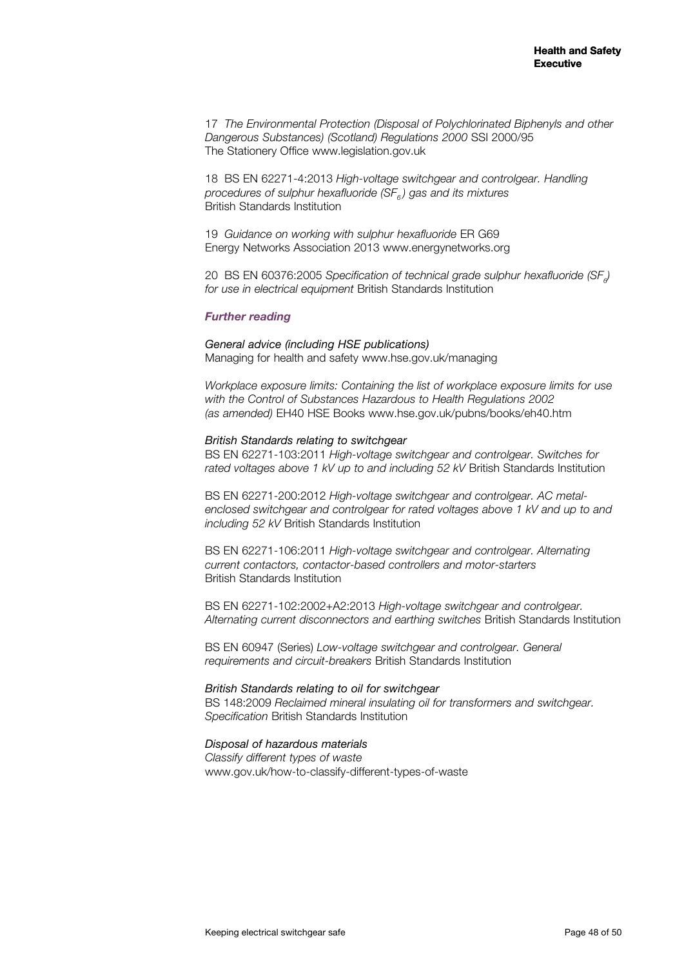17 *The Environmental Protection (Disposal of Polychlorinated Biphenyls and other Dangerous Substances) (Scotland) Regulations 2000* SSI 2000/95 The Stationery Office www.legislation.gov.uk

18 BS EN 62271-4:2013 *High-voltage switchgear and controlgear. Handling procedures of sulphur hexafluoride (SF<sub>6</sub>) gas and its mixtures* British Standards Institution

19 *Guidance on working with sulphur hexafluoride* ER G69 Energy Networks Association 2013 www.energynetworks.org

20 BS EN 60376:2005 Specification of technical grade sulphur hexafluoride (SF<sub>e</sub>) *for use in electrical equipment* British Standards Institution

#### *Further reading*

*General advice (including HSE publications)*  Managing for health and safety www.hse.gov.uk/managing

*Workplace exposure limits: Containing the list of workplace exposure limits for use with the Control of Substances Hazardous to Health Regulations 2002 (as amended)* EH40 HSE Books www.hse.gov.uk/pubns/books/eh40.htm

#### *British Standards relating to switchgear*

BS EN 62271-103:2011 *High-voltage switchgear and controlgear. Switches for rated voltages above 1 kV up to and including 52 kV* British Standards Institution

BS EN 62271-200:2012 *High-voltage switchgear and controlgear. AC metalenclosed switchgear and controlgear for rated voltages above 1 kV and up to and including 52 kV* British Standards Institution

BS EN 62271-106:2011 *High-voltage switchgear and controlgear. Alternating current contactors, contactor-based controllers and motor-starters* British Standards Institution

BS EN 62271-102:2002+A2:2013 *High-voltage switchgear and controlgear. Alternating current disconnectors and earthing switches* British Standards Institution

BS EN 60947 (Series) *Low-voltage switchgear and controlgear. General requirements and circuit-breakers* British Standards Institution

*British Standards relating to oil for switchgear*  BS 148:2009 *Reclaimed mineral insulating oil for transformers and switchgear. Specification* British Standards Institution

#### *Disposal of hazardous materials*

*Classify different types of waste*  www.gov.uk/how-to-classify-different-types-of-waste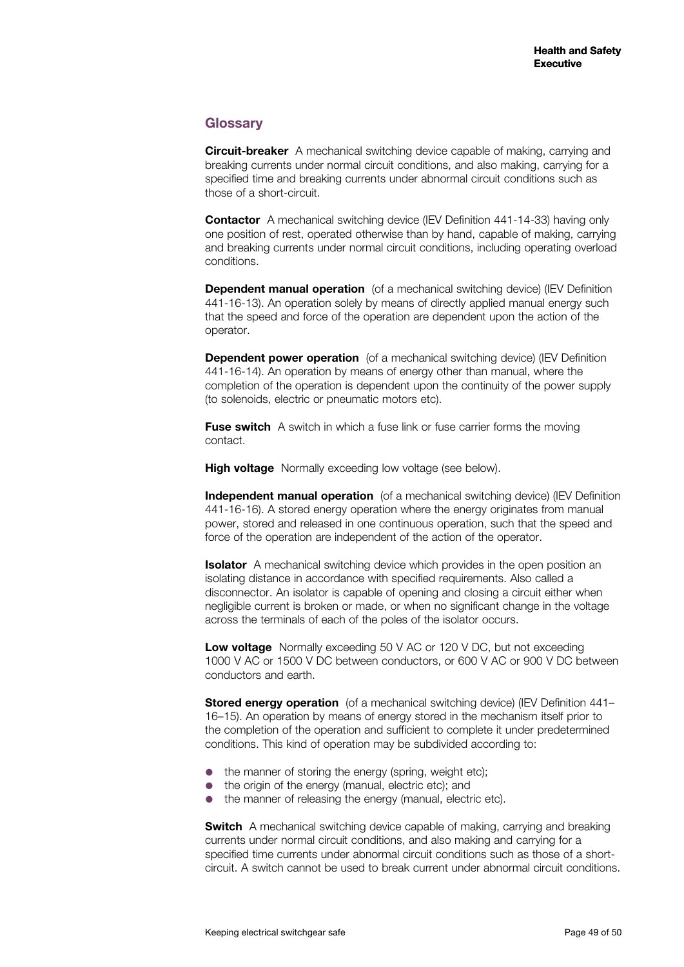## **Glossary**

**Circuit-breaker** A mechanical switching device capable of making, carrying and breaking currents under normal circuit conditions, and also making, carrying for a specified time and breaking currents under abnormal circuit conditions such as those of a short-circuit.

**Contactor** A mechanical switching device (IEV Definition 441-14-33) having only one position of rest, operated otherwise than by hand, capable of making, carrying and breaking currents under normal circuit conditions, including operating overload conditions.

**Dependent manual operation** (of a mechanical switching device) (IEV Definition 441-16-13). An operation solely by means of directly applied manual energy such that the speed and force of the operation are dependent upon the action of the operator.

**Dependent power operation** (of a mechanical switching device) (IEV Definition 441-16-14). An operation by means of energy other than manual, where the completion of the operation is dependent upon the continuity of the power supply (to solenoids, electric or pneumatic motors etc).

**Fuse switch** A switch in which a fuse link or fuse carrier forms the moving contact.

**High voltage** Normally exceeding low voltage (see below).

**Independent manual operation** (of a mechanical switching device) (IEV Definition 441-16-16). A stored energy operation where the energy originates from manual power, stored and released in one continuous operation, such that the speed and force of the operation are independent of the action of the operator.

**Isolator** A mechanical switching device which provides in the open position an isolating distance in accordance with specified requirements. Also called a disconnector. An isolator is capable of opening and closing a circuit either when negligible current is broken or made, or when no significant change in the voltage across the terminals of each of the poles of the isolator occurs.

**Low voltage** Normally exceeding 50 V AC or 120 V DC, but not exceeding 1000 V AC or 1500 V DC between conductors, or 600 V AC or 900 V DC between conductors and earth.

**Stored energy operation** (of a mechanical switching device) (IEV Definition 441– 16–15). An operation by means of energy stored in the mechanism itself prior to the completion of the operation and sufficient to complete it under predetermined conditions. This kind of operation may be subdivided according to:

- the manner of storing the energy (spring, weight etc);
- the origin of the energy (manual, electric etc); and
- the manner of releasing the energy (manual, electric etc).

**Switch** A mechanical switching device capable of making, carrying and breaking currents under normal circuit conditions, and also making and carrying for a specified time currents under abnormal circuit conditions such as those of a shortcircuit. A switch cannot be used to break current under abnormal circuit conditions.